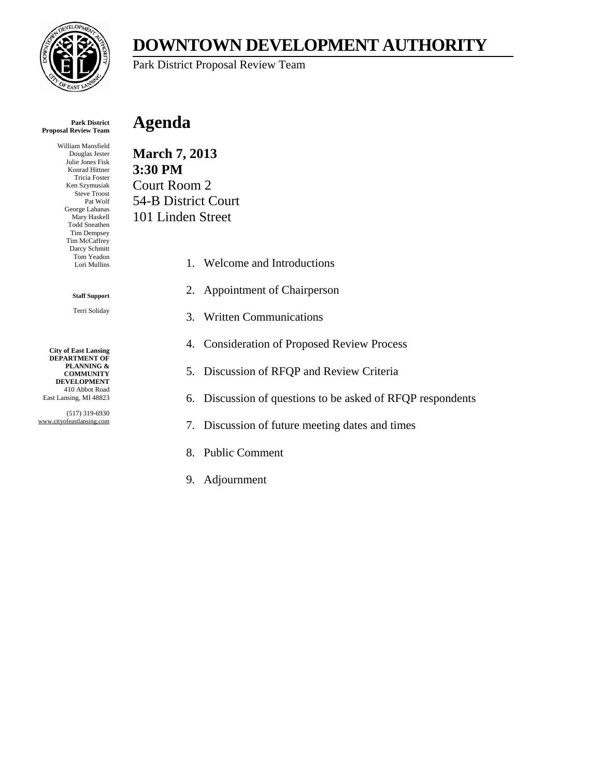

# **DOWNTOWN DEVELOPMENT AUTHORITY**

Park District Proposal Review Team

#### **Park District Proposal Review Team**

William Mansfield Douglas Jester Julie Jones Fisk Konrad Hittner Tricia Foster Ken Szymusiak Steve Troost Pat Wolf George Lahanas Mary Haskell Todd Sneathen Tim Dempsey Tim McCaffrey Darcy Schmitt Tom Yeadon Lori Mullins

#### **Staff Support**

Terri Soliday

**City of East Lansing DEPARTMENT OF PLANNING & COMMUNITY DEVELOPMENT** 410 Abbot Road East Lansing, MI 48823

(517) 319-6930 www.cityofeastlansing.com

## **Agenda**

**March 7, 2013 3:30 PM**  Court Room 2 54-B District Court 101 Linden Street

- 1. Welcome and Introductions
- 2. Appointment of Chairperson
- 3. Written Communications
- 4. Consideration of Proposed Review Process
- 5. Discussion of RFQP and Review Criteria
- 6. Discussion of questions to be asked of RFQP respondents
- 7. Discussion of future meeting dates and times
- 8. Public Comment
- 9. Adjournment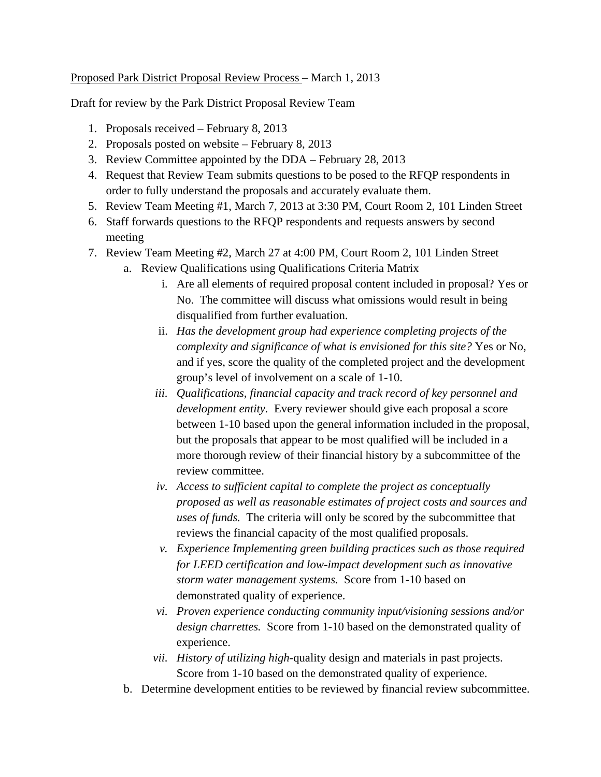### Proposed Park District Proposal Review Process – March 1, 2013

Draft for review by the Park District Proposal Review Team

- 1. Proposals received February 8, 2013
- 2. Proposals posted on website February 8, 2013
- 3. Review Committee appointed by the DDA February 28, 2013
- 4. Request that Review Team submits questions to be posed to the RFQP respondents in order to fully understand the proposals and accurately evaluate them.
- 5. Review Team Meeting #1, March 7, 2013 at 3:30 PM, Court Room 2, 101 Linden Street
- 6. Staff forwards questions to the RFQP respondents and requests answers by second meeting
- 7. Review Team Meeting #2, March 27 at 4:00 PM, Court Room 2, 101 Linden Street
	- a. Review Qualifications using Qualifications Criteria Matrix
		- i. Are all elements of required proposal content included in proposal? Yes or No. The committee will discuss what omissions would result in being disqualified from further evaluation.
		- ii. *Has the development group had experience completing projects of the complexity and significance of what is envisioned for this site?* Yes or No, and if yes, score the quality of the completed project and the development group's level of involvement on a scale of 1-10.
		- *iii. Qualifications, financial capacity and track record of key personnel and development entity.* Every reviewer should give each proposal a score between 1-10 based upon the general information included in the proposal, but the proposals that appear to be most qualified will be included in a more thorough review of their financial history by a subcommittee of the review committee.
		- *iv. Access to sufficient capital to complete the project as conceptually proposed as well as reasonable estimates of project costs and sources and uses of funds.* The criteria will only be scored by the subcommittee that reviews the financial capacity of the most qualified proposals.
		- *v. Experience Implementing green building practices such as those required for LEED certification and low-impact development such as innovative storm water management systems.* Score from 1-10 based on demonstrated quality of experience.
		- *vi. Proven experience conducting community input/visioning sessions and/or design charrettes.* Score from 1-10 based on the demonstrated quality of experience.
		- *vii. History of utilizing high-*quality design and materials in past projects. Score from 1-10 based on the demonstrated quality of experience.
	- b. Determine development entities to be reviewed by financial review subcommittee.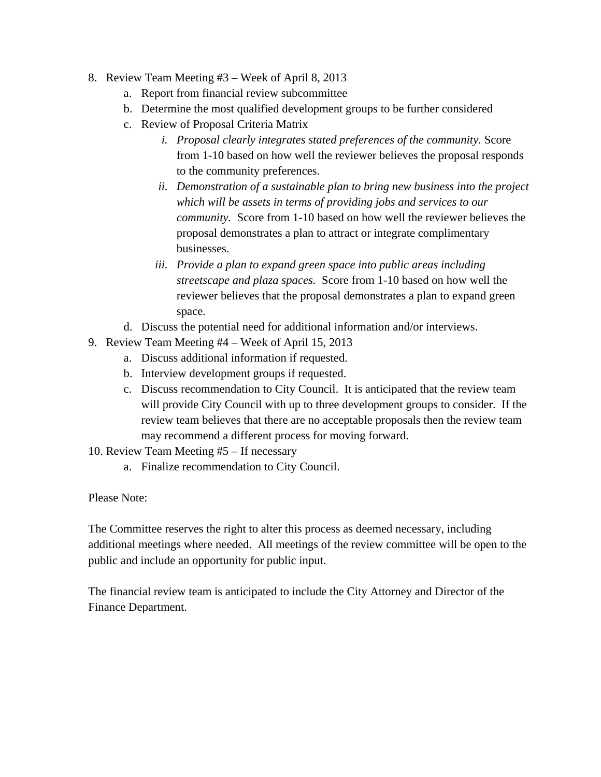- 8. Review Team Meeting #3 Week of April 8, 2013
	- a. Report from financial review subcommittee
	- b. Determine the most qualified development groups to be further considered
	- c. Review of Proposal Criteria Matrix
		- *i. Proposal clearly integrates stated preferences of the community.* Score from 1-10 based on how well the reviewer believes the proposal responds to the community preferences.
		- *ii. Demonstration of a sustainable plan to bring new business into the project which will be assets in terms of providing jobs and services to our community.* Score from 1-10 based on how well the reviewer believes the proposal demonstrates a plan to attract or integrate complimentary businesses.
		- *iii. Provide a plan to expand green space into public areas including streetscape and plaza spaces.* Score from 1-10 based on how well the reviewer believes that the proposal demonstrates a plan to expand green space.
	- d. Discuss the potential need for additional information and/or interviews.
- 9. Review Team Meeting #4 Week of April 15, 2013
	- a. Discuss additional information if requested.
	- b. Interview development groups if requested.
	- c. Discuss recommendation to City Council. It is anticipated that the review team will provide City Council with up to three development groups to consider. If the review team believes that there are no acceptable proposals then the review team may recommend a different process for moving forward.
- 10. Review Team Meeting #5 If necessary
	- a. Finalize recommendation to City Council.

Please Note:

The Committee reserves the right to alter this process as deemed necessary, including additional meetings where needed. All meetings of the review committee will be open to the public and include an opportunity for public input.

The financial review team is anticipated to include the City Attorney and Director of the Finance Department.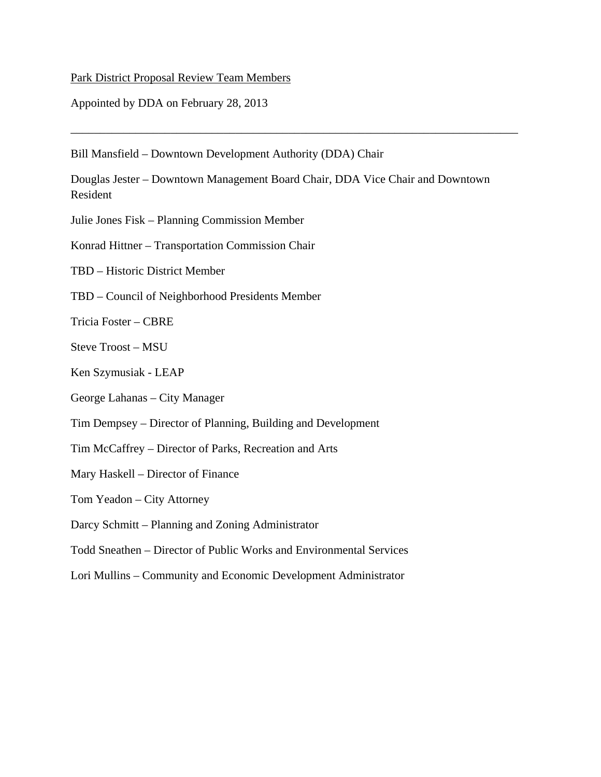### Park District Proposal Review Team Members

Appointed by DDA on February 28, 2013

Bill Mansfield – Downtown Development Authority (DDA) Chair

Douglas Jester – Downtown Management Board Chair, DDA Vice Chair and Downtown Resident

\_\_\_\_\_\_\_\_\_\_\_\_\_\_\_\_\_\_\_\_\_\_\_\_\_\_\_\_\_\_\_\_\_\_\_\_\_\_\_\_\_\_\_\_\_\_\_\_\_\_\_\_\_\_\_\_\_\_\_\_\_\_\_\_\_\_\_\_\_\_\_\_\_\_\_\_

Julie Jones Fisk – Planning Commission Member

Konrad Hittner – Transportation Commission Chair

TBD – Historic District Member

TBD – Council of Neighborhood Presidents Member

Tricia Foster – CBRE

Steve Troost – MSU

Ken Szymusiak - LEAP

George Lahanas – City Manager

Tim Dempsey – Director of Planning, Building and Development

Tim McCaffrey – Director of Parks, Recreation and Arts

Mary Haskell – Director of Finance

Tom Yeadon – City Attorney

Darcy Schmitt – Planning and Zoning Administrator

Todd Sneathen – Director of Public Works and Environmental Services

Lori Mullins – Community and Economic Development Administrator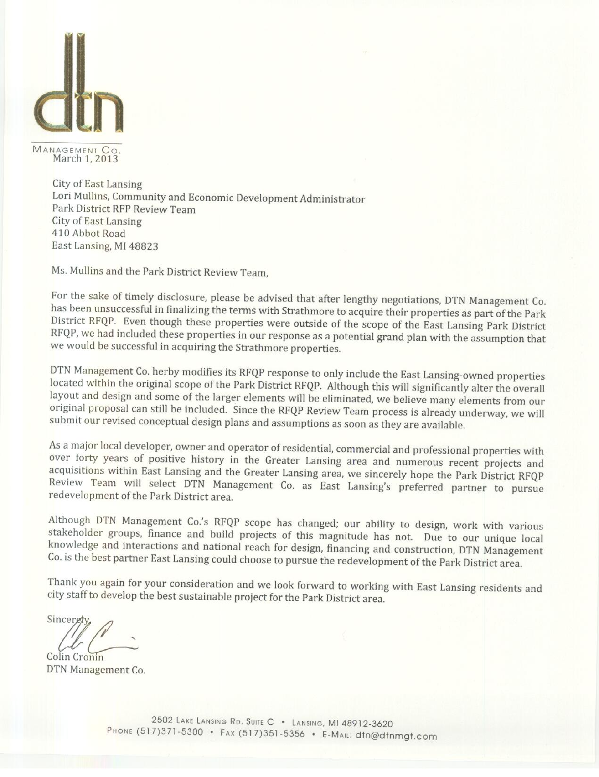

MANAGEMENT CO<br>March 1, 2013

**City of East Lansing** Lori Mullins, Community and Economic Development Administrator Park District RFP Review Team City of East Lansing 410 Abbot Road East Lansing, MI 48823

Ms. Mullins and the Park District Review Team,

For the sake of timely disclosure, please be advised that after lengthy negotiations, DTN Management Co. has been unsuccessful in finalizing the terms with Strathmore to acquire their properties as part of the Park District RFQP. Even though these properties were outside of the scope of the East Lansing Park District RFQP, we had included these properties in our response as a potential grand plan with the assumption that we would be successful in acquiring the Strathmore properties.

DTN Management Co. herby modifies its RFQP response to only include the East Lansing-owned properties located within the original scope of the Park District RFQP. Although this will significantly alter the overall layout and design and some of the larger elements will be eliminated, we believe many elements from our original proposal can still be included. Since the RFQP Review Team process is already underway, we will submit our revised conceptual design plans and assumptions as soon as they are available.

As a major local developer, owner and operator of residential, commercial and professional properties with over forty years of positive history in the Greater Lansing area and numerous recent projects and acquisitions within East Lansing and the Greater Lansing area, we sincerely hope the Park District RFQP Review Team will select DTN Management Co. as East Lansing's preferred partner to pursue redevelopment of the Park District area.

Although DTN Management Co.'s RFQP scope has changed; our ability to design, work with various stakeholder groups, finance and build projects of this magnitude has not. Due to our unique local knowledge and interactions and national reach for design, financing and construction, DTN Management Co. is the best partner East Lansing could choose to pursue the redevelopment of the Park District area.

Thank you again for your consideration and we look forward to working with East Lansing residents and city staff to develop the best sustainable project for the Park District area.

Sinceret

Colin Cronin DTN Management Co.

> 2502 LAKE LANSING RD. SUITE C . LANSING, MI 48912-3620 PHONE (517)371-5300 · FAX (517)351-5356 · E-MAIL: dtn@dtnmgt.com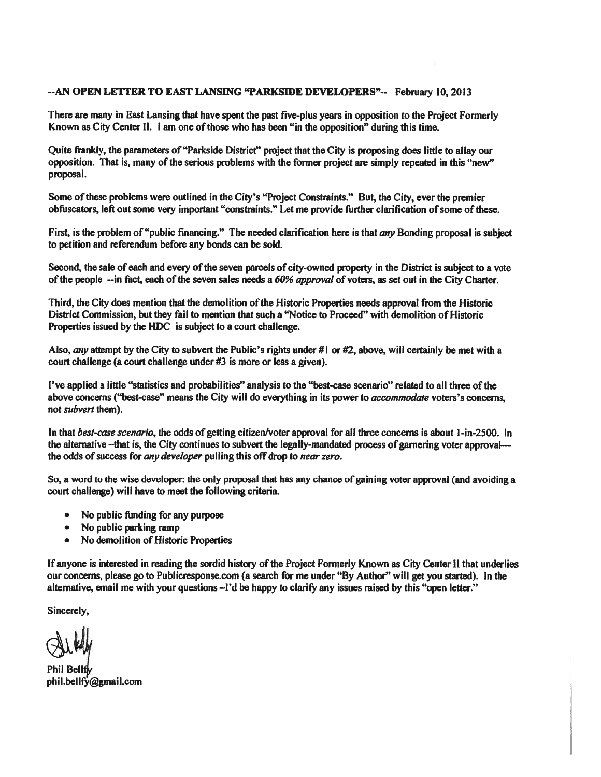#### --AN OPEN LETTER TO EAST LANSING "PARKSIDE DEVELOPERS"-- February 10, 2013

There are many in East Lansing that have spent the past five-plus years in opposition to the Project Formerly Known as City Center II. 1 am one of those who has been "in the opposition" during this time.

Quite frankly, the parameters of "Parkside District" project that the City is proposing does little to allay our opposition. That is, many of the serious problems with the former project are simply repeated in this "new" proposal.

Some of these problems were outlined in the City's "Project Constraints." But, the City, ever the premier obfuscators, left out some very important "constraints." Let me provide further clarification of some of these.

First, is the problem of "public financing." The needed clarification here is that any Bonding proposal is subject to petition and referendum before any bonds can be sold.

Second, the sale of each and every of the seven parcels of city-owned property in the District is subject to a vote of the people --in fact, each of the seven sales needs a 60% approval of voters, as set out in the City Charter.

Third, the City does mention that the demolition of the Historic Properties needs approval from the Historic District Commission, but they fail to mention that such a "Notice to Proceed" with demolition of Historic Properties issued by the HDC is subject to a court challenge.

Also, any attempt by the City to subvert the Public's rights under # $\vert$  or #2, above, will certainly be met with a court challenge (a court challenge under #3 is more or less a given).

I've applied a little "statistics and probabilities" analysis to the "best-case scenario" related to all three of the above concerns ("best-case" means the City will do everything in its power to *accommodate* voters's concerns, not *subvert* them).

In that best-case scenario, the odds of getting citizen/voter approval for all three concerns is about 1-in-2500. In the alternative --that is, the City continues to subvert the legally-mandated process of garnering voter approval--the odds of success for any developer pulling this off drop to near zero.

So, a word to the wise developer: the only proposal that has any chance of gaining voter approval (and avoiding a court challenge) will have to meet the following criteria.

- No public funding for any purpose
- No public parking ramp
- No demolition of Historic Properties  $\bullet$

If anyone is interested in reading the sordid history of the Project Formerly Known as City Center II that underlies our concerns, please go to Publicresponse.com (a search for me under "By Author" will get you started). In the alternative, email me with your questions -I'd be happy to clarify any issues raised by this "open letter."

Sincerely,

Phil Bellfh phil.bellfy@gmail.com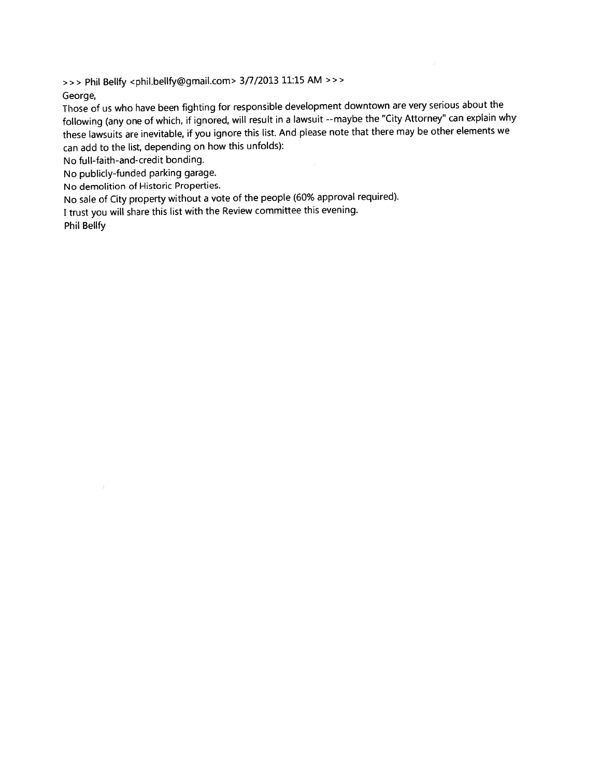>>> Phil Bellfy <phil.bellfy@gmail.com> 3/7/2013 11:15 AM >>>

George,

Those of us who have been fighting for responsible development downtown are very serious about the following (any one of which, if ignored, will result in a lawsuit --maybe the "City Attorney" can explain why these lawsuits are inevitable, if you ignore this list. And please note that there may be other elements we can add to the list, depending on how this unfolds):

No full-faith-and-credit bonding.

No publicly-funded parking garage.

No demolition of Historic Properties.

No sale of City property without a vote of the people (60% approval required).

I trust you will share this list with the Review committee this evening.

**Phil Bellfy**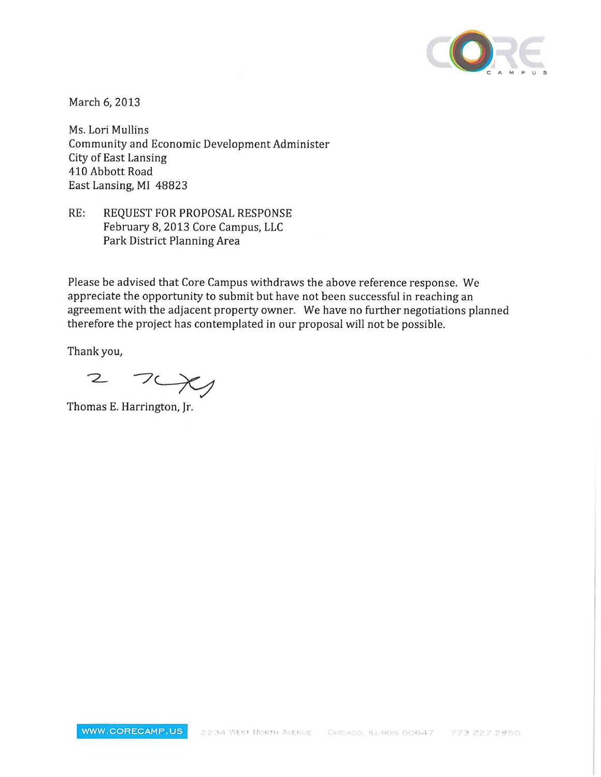

March 6, 2013

Ms. Lori Mullins Community and Economic Development Administer **City of East Lansing** 410 Abbott Road East Lansing, MI 48823

 $RE:$ REQUEST FOR PROPOSAL RESPONSE February 8, 2013 Core Campus, LLC Park District Planning Area

Please be advised that Core Campus withdraws the above reference response. We appreciate the opportunity to submit but have not been successful in reaching an agreement with the adjacent property owner. We have no further negotiations planned therefore the project has contemplated in our proposal will not be possible.

Thank you,

 $70x$  $\mathcal{Z}$ 

Thomas E. Harrington, Jr.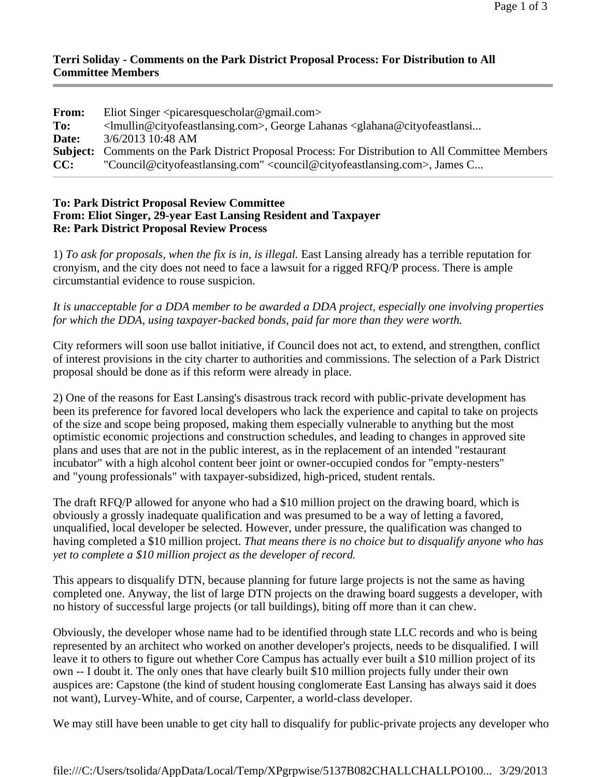### **Terri Soliday - Comments on the Park District Proposal Process: For Distribution to All Committee Members**

| <b>From:</b> | Eliot Singer $\langle$ picaresquescholar@gmail.com>                                                                                         |
|--------------|---------------------------------------------------------------------------------------------------------------------------------------------|
| To:          | <lmullin@cityofeastlansing.com>, George Lahanas <glahana@cityofeastlansi< th=""></glahana@cityofeastlansi<></lmullin@cityofeastlansing.com> |
| Date:        | 3/6/2013 10:48 AM                                                                                                                           |
|              | <b>Subject:</b> Comments on the Park District Proposal Process: For Distribution to All Committee Members                                   |
| CC:          | "Council@cityofeastlansing.com" <council@cityofeastlansing.com>, James C</council@cityofeastlansing.com>                                    |

### **To: Park District Proposal Review Committee From: Eliot Singer, 29-year East Lansing Resident and Taxpayer Re: Park District Proposal Review Process**

1) *To ask for proposals, when the fix is in, is illegal.* East Lansing already has a terrible reputation for cronyism, and the city does not need to face a lawsuit for a rigged RFQ/P process. There is ample circumstantial evidence to rouse suspicion.

*It is unacceptable for a DDA member to be awarded a DDA project, especially one involving properties for which the DDA, using taxpayer-backed bonds, paid far more than they were worth.*

City reformers will soon use ballot initiative, if Council does not act, to extend, and strengthen, conflict of interest provisions in the city charter to authorities and commissions. The selection of a Park District proposal should be done as if this reform were already in place.

2) One of the reasons for East Lansing's disastrous track record with public-private development has been its preference for favored local developers who lack the experience and capital to take on projects of the size and scope being proposed, making them especially vulnerable to anything but the most optimistic economic projections and construction schedules, and leading to changes in approved site plans and uses that are not in the public interest, as in the replacement of an intended "restaurant incubator" with a high alcohol content beer joint or owner-occupied condos for "empty-nesters" and "young professionals" with taxpayer-subsidized, high-priced, student rentals.

The draft RFQ/P allowed for anyone who had a \$10 million project on the drawing board, which is obviously a grossly inadequate qualification and was presumed to be a way of letting a favored, unqualified, local developer be selected. However, under pressure, the qualification was changed to having completed a \$10 million project. *That means there is no choice but to disqualify anyone who has yet to complete a \$10 million project as the developer of record.*

This appears to disqualify DTN, because planning for future large projects is not the same as having completed one. Anyway, the list of large DTN projects on the drawing board suggests a developer, with no history of successful large projects (or tall buildings), biting off more than it can chew.

Obviously, the developer whose name had to be identified through state LLC records and who is being represented by an architect who worked on another developer's projects, needs to be disqualified. I will leave it to others to figure out whether Core Campus has actually ever built a \$10 million project of its own -- I doubt it. The only ones that have clearly built \$10 million projects fully under their own auspices are: Capstone (the kind of student housing conglomerate East Lansing has always said it does not want), Lurvey-White, and of course, Carpenter, a world-class developer.

We may still have been unable to get city hall to disqualify for public-private projects any developer who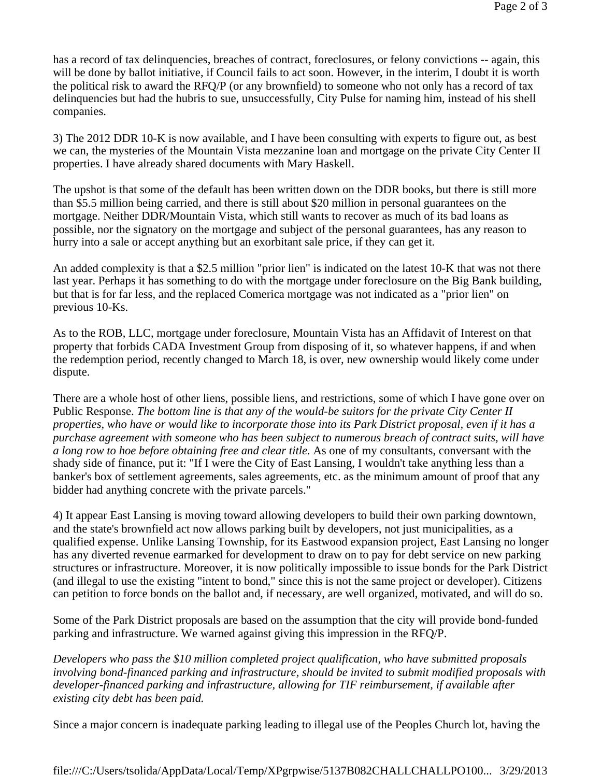has a record of tax delinquencies, breaches of contract, foreclosures, or felony convictions -- again, this will be done by ballot initiative, if Council fails to act soon. However, in the interim, I doubt it is worth the political risk to award the RFQ/P (or any brownfield) to someone who not only has a record of tax delinquencies but had the hubris to sue, unsuccessfully, City Pulse for naming him, instead of his shell companies.

3) The 2012 DDR 10-K is now available, and I have been consulting with experts to figure out, as best we can, the mysteries of the Mountain Vista mezzanine loan and mortgage on the private City Center II properties. I have already shared documents with Mary Haskell.

The upshot is that some of the default has been written down on the DDR books, but there is still more than \$5.5 million being carried, and there is still about \$20 million in personal guarantees on the mortgage. Neither DDR/Mountain Vista, which still wants to recover as much of its bad loans as possible, nor the signatory on the mortgage and subject of the personal guarantees, has any reason to hurry into a sale or accept anything but an exorbitant sale price, if they can get it.

An added complexity is that a \$2.5 million "prior lien" is indicated on the latest 10-K that was not there last year. Perhaps it has something to do with the mortgage under foreclosure on the Big Bank building, but that is for far less, and the replaced Comerica mortgage was not indicated as a "prior lien" on previous 10-Ks.

As to the ROB, LLC, mortgage under foreclosure, Mountain Vista has an Affidavit of Interest on that property that forbids CADA Investment Group from disposing of it, so whatever happens, if and when the redemption period, recently changed to March 18, is over, new ownership would likely come under dispute.

There are a whole host of other liens, possible liens, and restrictions, some of which I have gone over on Public Response. *The bottom line is that any of the would-be suitors for the private City Center II properties, who have or would like to incorporate those into its Park District proposal, even if it has a purchase agreement with someone who has been subject to numerous breach of contract suits, will have a long row to hoe before obtaining free and clear title.* As one of my consultants, conversant with the shady side of finance, put it: "If I were the City of East Lansing, I wouldn't take anything less than a banker's box of settlement agreements, sales agreements, etc. as the minimum amount of proof that any bidder had anything concrete with the private parcels."

4) It appear East Lansing is moving toward allowing developers to build their own parking downtown, and the state's brownfield act now allows parking built by developers, not just municipalities, as a qualified expense. Unlike Lansing Township, for its Eastwood expansion project, East Lansing no longer has any diverted revenue earmarked for development to draw on to pay for debt service on new parking structures or infrastructure. Moreover, it is now politically impossible to issue bonds for the Park District (and illegal to use the existing "intent to bond," since this is not the same project or developer). Citizens can petition to force bonds on the ballot and, if necessary, are well organized, motivated, and will do so.

Some of the Park District proposals are based on the assumption that the city will provide bond-funded parking and infrastructure. We warned against giving this impression in the RFQ/P.

*Developers who pass the \$10 million completed project qualification, who have submitted proposals involving bond-financed parking and infrastructure, should be invited to submit modified proposals with developer-financed parking and infrastructure, allowing for TIF reimbursement, if available after existing city debt has been paid.*

Since a major concern is inadequate parking leading to illegal use of the Peoples Church lot, having the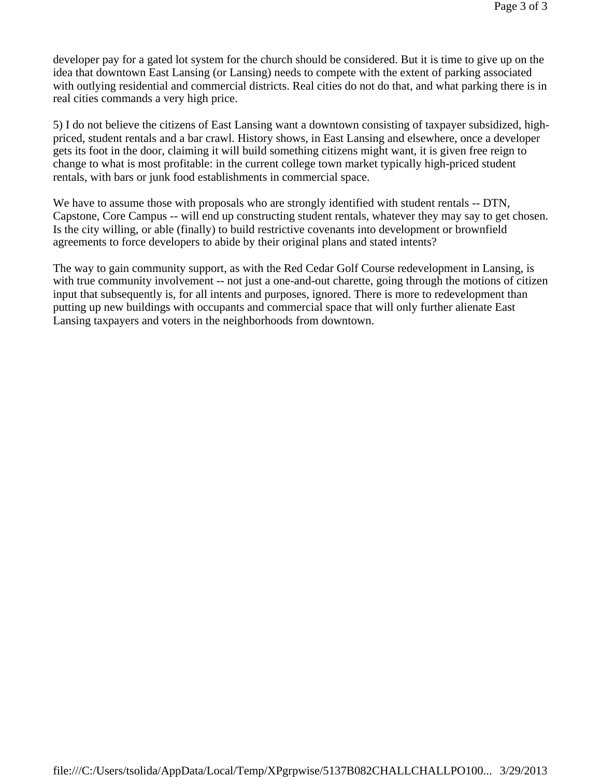developer pay for a gated lot system for the church should be considered. But it is time to give up on the idea that downtown East Lansing (or Lansing) needs to compete with the extent of parking associated with outlying residential and commercial districts. Real cities do not do that, and what parking there is in real cities commands a very high price.

5) I do not believe the citizens of East Lansing want a downtown consisting of taxpayer subsidized, highpriced, student rentals and a bar crawl. History shows, in East Lansing and elsewhere, once a developer gets its foot in the door, claiming it will build something citizens might want, it is given free reign to change to what is most profitable: in the current college town market typically high-priced student rentals, with bars or junk food establishments in commercial space.

We have to assume those with proposals who are strongly identified with student rentals -- DTN, Capstone, Core Campus -- will end up constructing student rentals, whatever they may say to get chosen. Is the city willing, or able (finally) to build restrictive covenants into development or brownfield agreements to force developers to abide by their original plans and stated intents?

The way to gain community support, as with the Red Cedar Golf Course redevelopment in Lansing, is with true community involvement -- not just a one-and-out charette, going through the motions of citizen input that subsequently is, for all intents and purposes, ignored. There is more to redevelopment than putting up new buildings with occupants and commercial space that will only further alienate East Lansing taxpayers and voters in the neighborhoods from downtown.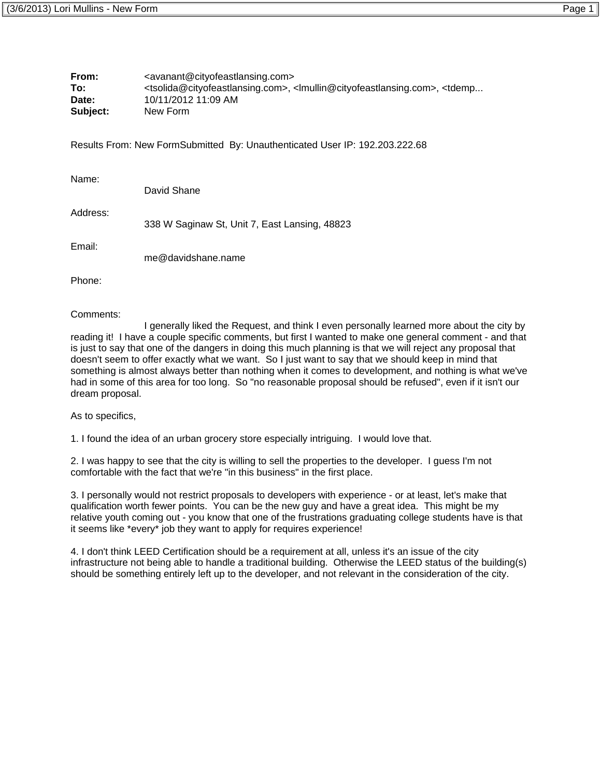| From:    | <avanant@cityofeastlansing.com></avanant@cityofeastlansing.com>                                                                                           |
|----------|-----------------------------------------------------------------------------------------------------------------------------------------------------------|
| To:      | <tsolida@cityofeastlansing.com>, <lmullin@cityofeastlansing.com>, <tdemp< th=""></tdemp<></lmullin@cityofeastlansing.com></tsolida@cityofeastlansing.com> |
| Date:    | 10/11/2012 11:09 AM                                                                                                                                       |
| Subject: | New Form                                                                                                                                                  |

Results From: New FormSubmitted By: Unauthenticated User IP: 192.203.222.68

| Name:    | David Shane                                   |
|----------|-----------------------------------------------|
| Address: | 338 W Saginaw St, Unit 7, East Lansing, 48823 |
| Email:   | me@davidshane.name                            |

Phone:

#### Comments:

 I generally liked the Request, and think I even personally learned more about the city by reading it! I have a couple specific comments, but first I wanted to make one general comment - and that is just to say that one of the dangers in doing this much planning is that we will reject any proposal that doesn't seem to offer exactly what we want. So I just want to say that we should keep in mind that something is almost always better than nothing when it comes to development, and nothing is what we've had in some of this area for too long. So "no reasonable proposal should be refused", even if it isn't our dream proposal.

As to specifics,

1. I found the idea of an urban grocery store especially intriguing. I would love that.

2. I was happy to see that the city is willing to sell the properties to the developer. I guess I'm not comfortable with the fact that we're "in this business" in the first place.

3. I personally would not restrict proposals to developers with experience - or at least, let's make that qualification worth fewer points. You can be the new guy and have a great idea. This might be my relative youth coming out - you know that one of the frustrations graduating college students have is that it seems like \*every\* job they want to apply for requires experience!

4. I don't think LEED Certification should be a requirement at all, unless it's an issue of the city infrastructure not being able to handle a traditional building. Otherwise the LEED status of the building(s) should be something entirely left up to the developer, and not relevant in the consideration of the city.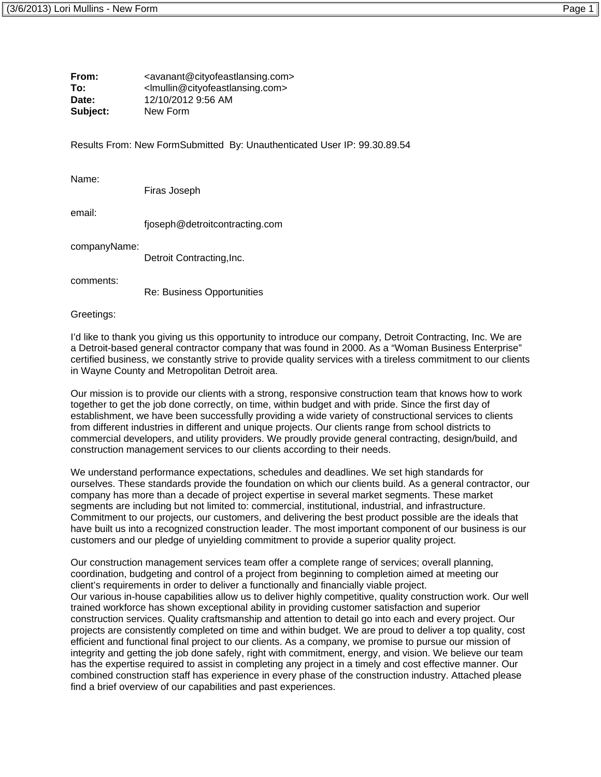| From:    | <avanant@cityofeastlansing.com></avanant@cityofeastlansing.com> |
|----------|-----------------------------------------------------------------|
| To:      | <lmullin@cityofeastlansing.com></lmullin@cityofeastlansing.com> |
| Date:    | 12/10/2012 9:56 AM                                              |
| Subject: | New Form                                                        |

Results From: New FormSubmitted By: Unauthenticated User IP: 99.30.89.54

Name:

Firas Joseph

email:

fjoseph@detroitcontracting.com

companyName:

Detroit Contracting, Inc.

comments:

Re: Business Opportunities

Greetings:

I'd like to thank you giving us this opportunity to introduce our company, Detroit Contracting, Inc. We are a Detroit-based general contractor company that was found in 2000. As a "Woman Business Enterprise" certified business, we constantly strive to provide quality services with a tireless commitment to our clients in Wayne County and Metropolitan Detroit area.

Our mission is to provide our clients with a strong, responsive construction team that knows how to work together to get the job done correctly, on time, within budget and with pride. Since the first day of establishment, we have been successfully providing a wide variety of constructional services to clients from different industries in different and unique projects. Our clients range from school districts to commercial developers, and utility providers. We proudly provide general contracting, design/build, and construction management services to our clients according to their needs.

We understand performance expectations, schedules and deadlines. We set high standards for ourselves. These standards provide the foundation on which our clients build. As a general contractor, our company has more than a decade of project expertise in several market segments. These market segments are including but not limited to: commercial, institutional, industrial, and infrastructure. Commitment to our projects, our customers, and delivering the best product possible are the ideals that have built us into a recognized construction leader. The most important component of our business is our customers and our pledge of unyielding commitment to provide a superior quality project.

Our construction management services team offer a complete range of services; overall planning, coordination, budgeting and control of a project from beginning to completion aimed at meeting our client's requirements in order to deliver a functionally and financially viable project. Our various in-house capabilities allow us to deliver highly competitive, quality construction work. Our well trained workforce has shown exceptional ability in providing customer satisfaction and superior construction services. Quality craftsmanship and attention to detail go into each and every project. Our projects are consistently completed on time and within budget. We are proud to deliver a top quality, cost efficient and functional final project to our clients. As a company, we promise to pursue our mission of integrity and getting the job done safely, right with commitment, energy, and vision. We believe our team has the expertise required to assist in completing any project in a timely and cost effective manner. Our combined construction staff has experience in every phase of the construction industry. Attached please find a brief overview of our capabilities and past experiences.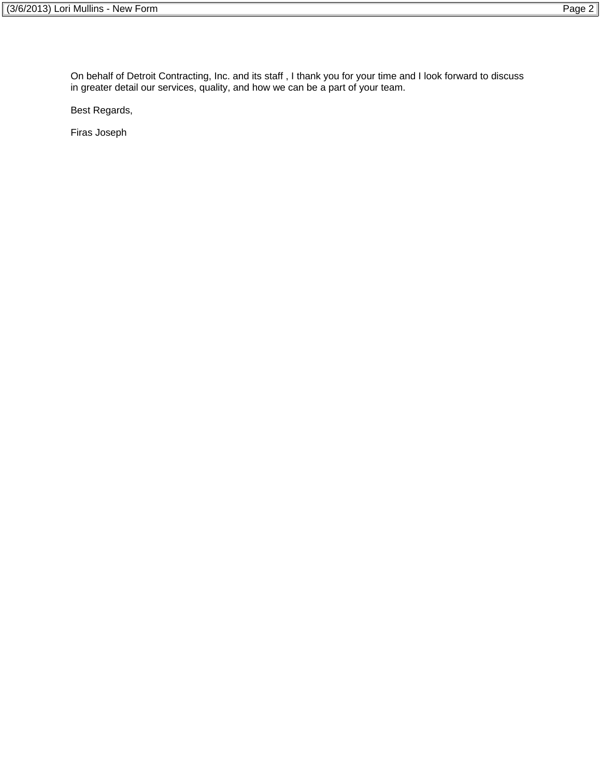On behalf of Detroit Contracting, Inc. and its staff , I thank you for your time and I look forward to discuss in greater detail our services, quality, and how we can be a part of your team.

Best Regards,

Firas Joseph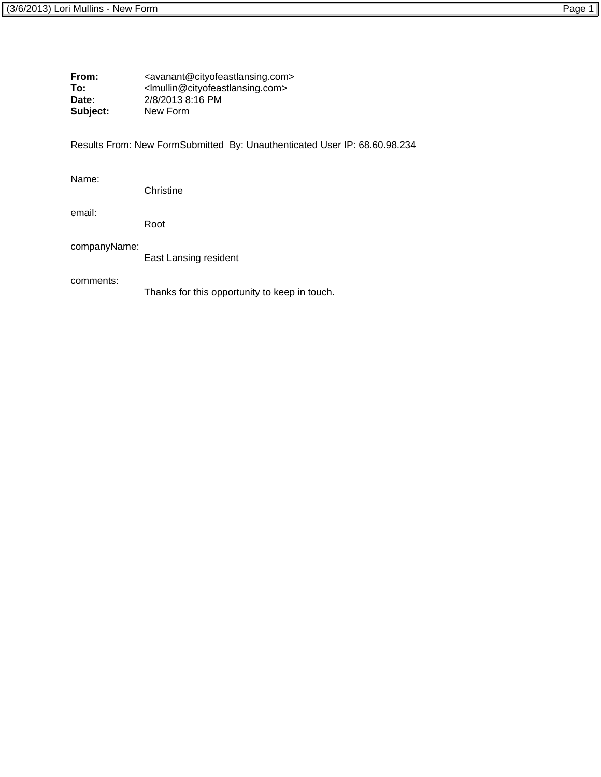| From:<br>To:<br>Date:<br>Subject: | <avanant@cityofeastlansing.com><br/><lmullin@cityofeastlansing.com><br/>2/8/2013 8:16 PM<br/>New Form</lmullin@cityofeastlansing.com></avanant@cityofeastlansing.com> |  |  |  |  |  |
|-----------------------------------|-----------------------------------------------------------------------------------------------------------------------------------------------------------------------|--|--|--|--|--|
|                                   | Results From: New FormSubmitted By: Unauthenticated User IP: 68.60.98.234                                                                                             |  |  |  |  |  |
| Name:                             | Christine                                                                                                                                                             |  |  |  |  |  |
| email:                            | Root                                                                                                                                                                  |  |  |  |  |  |
| companyName:                      | East Lansing resident                                                                                                                                                 |  |  |  |  |  |
| comments:                         | Thanks for this opportunity to keep in touch.                                                                                                                         |  |  |  |  |  |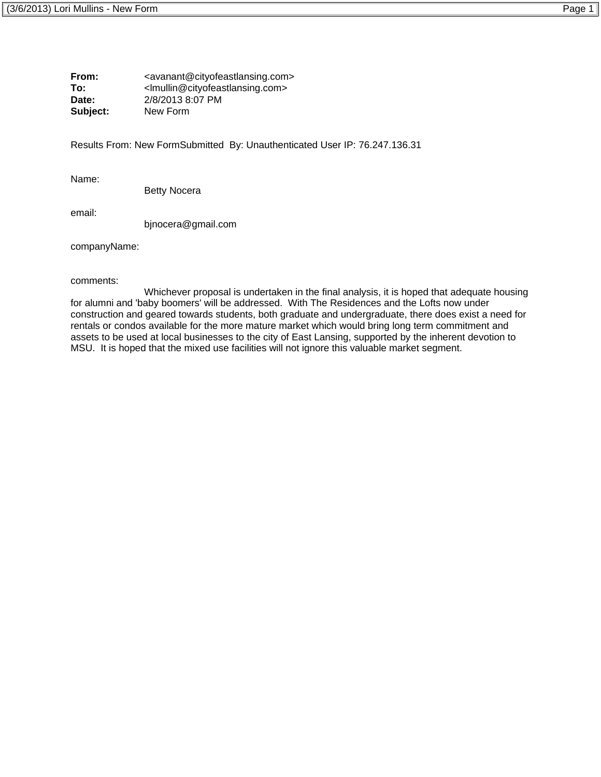**From:** <avanant@cityofeastlansing.com> **To:** </abullin@cityofeastlansing.com><br>Date: 2/8/2013 8:07 PM **Date:** 2/8/2013 8:07 PM **Subject:** New Form

Results From: New FormSubmitted By: Unauthenticated User IP: 76.247.136.31

Name:

Betty Nocera

email:

bjnocera@gmail.com

companyName:

comments:

 Whichever proposal is undertaken in the final analysis, it is hoped that adequate housing for alumni and 'baby boomers' will be addressed. With The Residences and the Lofts now under construction and geared towards students, both graduate and undergraduate, there does exist a need for rentals or condos available for the more mature market which would bring long term commitment and assets to be used at local businesses to the city of East Lansing, supported by the inherent devotion to MSU. It is hoped that the mixed use facilities will not ignore this valuable market segment.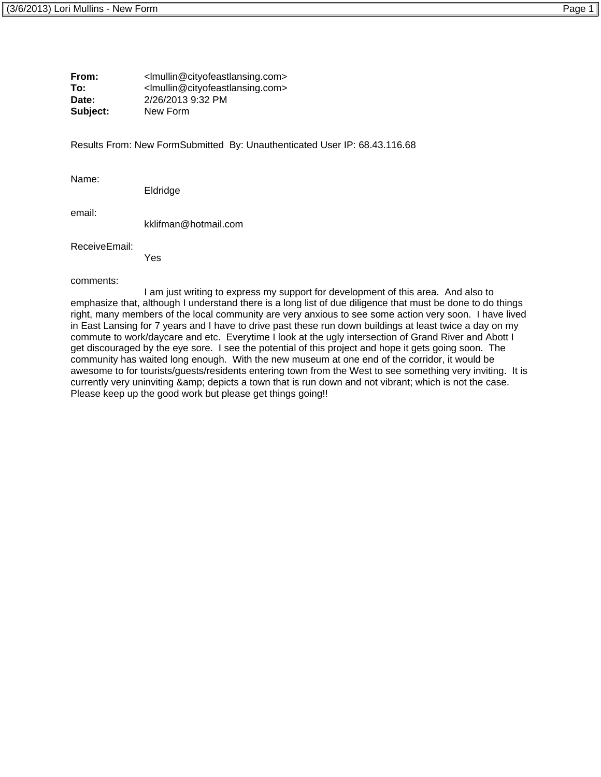**From:** </nullin@cityofeastlansing.com> **To:** <lmullin@cityofeastlansing.com> **Date:** 2/26/2013 9:32 PM **Subject:** New Form

Results From: New FormSubmitted By: Unauthenticated User IP: 68.43.116.68

Name:

Eldridge

email:

kklifman@hotmail.com

ReceiveEmail:

Yes

comments:

 I am just writing to express my support for development of this area. And also to emphasize that, although I understand there is a long list of due diligence that must be done to do things right, many members of the local community are very anxious to see some action very soon. I have lived in East Lansing for 7 years and I have to drive past these run down buildings at least twice a day on my commute to work/daycare and etc. Everytime I look at the ugly intersection of Grand River and Abott I get discouraged by the eye sore. I see the potential of this project and hope it gets going soon. The community has waited long enough. With the new museum at one end of the corridor, it would be awesome to for tourists/guests/residents entering town from the West to see something very inviting. It is currently very uninviting & amp; depicts a town that is run down and not vibrant; which is not the case. Please keep up the good work but please get things going!!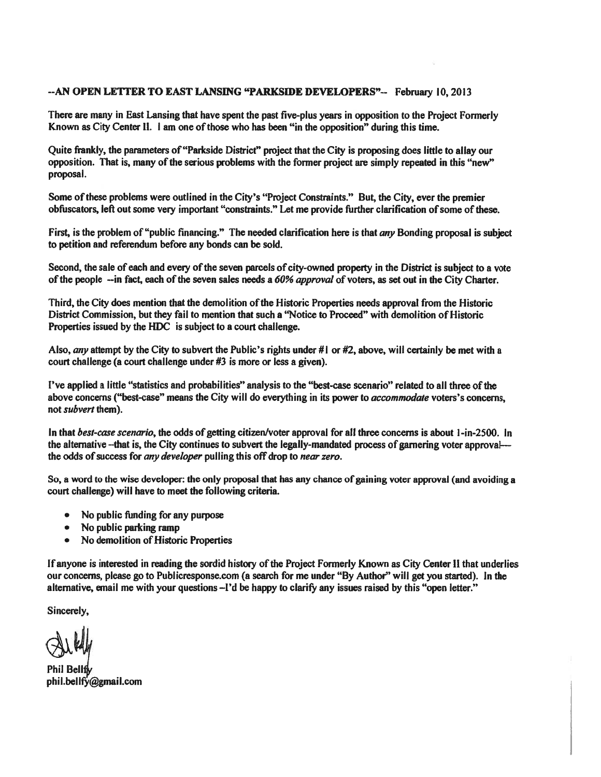#### --AN OPEN LETTER TO EAST LANSING "PARKSIDE DEVELOPERS"-- February 10, 2013

There are many in East Lansing that have spent the past five-plus years in opposition to the Project Formerly Known as City Center II. 1 am one of those who has been "in the opposition" during this time.

Quite frankly, the parameters of "Parkside District" project that the City is proposing does little to allay our opposition. That is, many of the serious problems with the former project are simply repeated in this "new" proposal.

Some of these problems were outlined in the City's "Project Constraints." But, the City, ever the premier obfuscators, left out some very important "constraints." Let me provide further clarification of some of these.

First, is the problem of "public financing." The needed clarification here is that any Bonding proposal is subject to petition and referendum before any bonds can be sold.

Second, the sale of each and every of the seven parcels of city-owned property in the District is subject to a vote of the people --in fact, each of the seven sales needs a 60% approval of voters, as set out in the City Charter.

Third, the City does mention that the demolition of the Historic Properties needs approval from the Historic District Commission, but they fail to mention that such a "Notice to Proceed" with demolition of Historic Properties issued by the HDC is subject to a court challenge.

Also, any attempt by the City to subvert the Public's rights under # $\vert$  or #2, above, will certainly be met with a court challenge (a court challenge under #3 is more or less a given).

I've applied a little "statistics and probabilities" analysis to the "best-case scenario" related to all three of the above concerns ("best-case" means the City will do everything in its power to *accommodate* voters's concerns, not *subvert* them).

In that best-case scenario, the odds of getting citizen/voter approval for all three concerns is about 1-in-2500. In the alternative --that is, the City continues to subvert the legally-mandated process of garnering voter approval--the odds of success for any developer pulling this off drop to near zero.

So, a word to the wise developer: the only proposal that has any chance of gaining voter approval (and avoiding a court challenge) will have to meet the following criteria.

- No public funding for any purpose
- No public parking ramp
- No demolition of Historic Properties  $\bullet$

If anyone is interested in reading the sordid history of the Project Formerly Known as City Center II that underlies our concerns, please go to Publicresponse.com (a search for me under "By Author" will get you started). In the alternative, email me with your questions -I'd be happy to clarify any issues raised by this "open letter."

Sincerely,

Phil Bellfh phil.bellfy@gmail.com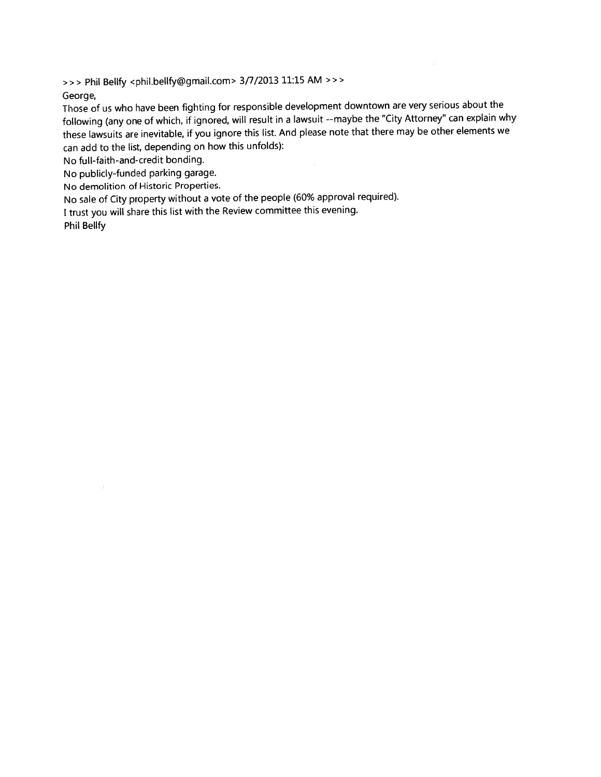>>> Phil Bellfy <phil.bellfy@gmail.com> 3/7/2013 11:15 AM >>>

George,

Those of us who have been fighting for responsible development downtown are very serious about the following (any one of which, if ignored, will result in a lawsuit --maybe the "City Attorney" can explain why these lawsuits are inevitable, if you ignore this list. And please note that there may be other elements we can add to the list, depending on how this unfolds):

No full-faith-and-credit bonding.

No publicly-funded parking garage.

No demolition of Historic Properties.

No sale of City property without a vote of the people (60% approval required).

I trust you will share this list with the Review committee this evening.

**Phil Bellfy**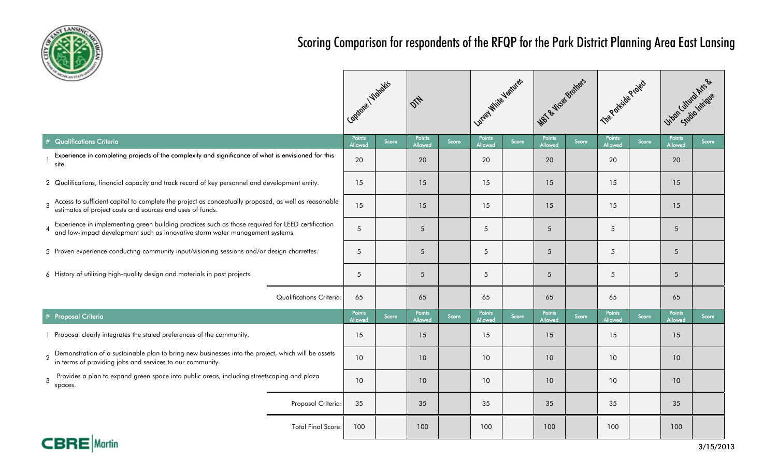

# Scoring Comparison for respondents of the RFQP for the Park District Planning Area East Lansing

| <b>CHEANSTATE!</b>                                                                                                                                                                 |                                 | Capidoe / Watakis        |       |                          |       | Lunga William Ventures |       | MBT & Viser Bratters     |       | The Parkide Project      |       | Uyan Cultiva Arts &      |       |
|------------------------------------------------------------------------------------------------------------------------------------------------------------------------------------|---------------------------------|--------------------------|-------|--------------------------|-------|------------------------|-------|--------------------------|-------|--------------------------|-------|--------------------------|-------|
| <b>Qualifications Criteria</b>                                                                                                                                                     |                                 | Points<br><b>Allowed</b> | Score | Points<br>Allowed        | Score | Points<br>Allowed      | Score | <b>Points</b><br>Allowed | Score | Points<br><b>Allowed</b> | Score | <b>Points</b><br>Allowed | Score |
| Experience in completing projects of the complexity and significance of what is envisioned for this<br>site.                                                                       |                                 | 20                       |       | 20                       |       | 20                     |       | 20                       |       | 20                       |       | 20                       |       |
| 2 Qualifications, financial capacity and track record of key personnel and development entity.                                                                                     |                                 | 15                       |       | 15                       |       | 15                     |       | 15                       |       | 15                       |       | 15                       |       |
| Access to sufficient capital to complete the project as conceptually proposed, as well as reasonable estimates of project costs and sources and uses of funds.<br>$\overline{3}$   |                                 | 15                       |       | 15                       |       | 15                     |       | 15                       |       | 15                       |       | 15                       |       |
| Experience in implementing green building practices such as those required for LEED certification<br>and low-impact development such as innovative storm water management systems. |                                 | 5                        |       | $5\overline{)}$          |       | 5                      |       | 5                        |       | 5                        |       | $5\overline{)}$          |       |
| 5 Proven experience conducting community input/visioning sessions and/or design charrettes.                                                                                        |                                 | 5                        |       | 5                        |       | 5                      |       | 5                        |       | 5                        |       | 5                        |       |
| 6 History of utilizing high-quality design and materials in past projects.                                                                                                         |                                 | 5                        |       | 5                        |       | 5                      |       | 5                        |       | 5                        |       | 5                        |       |
|                                                                                                                                                                                    | <b>Qualifications Criteria:</b> | 65                       |       | 65                       |       | 65                     |       | 65                       |       | 65                       |       | 65                       |       |
| <b>Proposal Criteria</b>                                                                                                                                                           |                                 | Points<br><b>Allowed</b> | Score | Points<br><b>Allowed</b> | Score | Points<br>Allowed      | Score | <b>Points</b><br>Allowed | Score | Points<br><b>Allowed</b> | Score | Points<br><b>Allowed</b> | Score |
| 1 Proposal clearly integrates the stated preferences of the community.                                                                                                             |                                 | 15                       |       | 15                       |       | 15                     |       | 15                       |       | 15                       |       | 15                       |       |
| 2 Demonstration of a sustainable plan to bring new businesses into the project, which will be assets in terms of providing jobs and services to our community.                     |                                 | 10 <sup>°</sup>          |       | 10                       |       | 10                     |       | 10                       |       | 10                       |       | 10                       |       |
| Provides a plan to expand green space into public areas, including streetscaping and plaza<br>$\mathbf{3}$<br>spaces.                                                              |                                 | 10                       |       | 10                       |       | 10                     |       | 10                       |       | 10                       |       | 10                       |       |
|                                                                                                                                                                                    | Proposal Criteria:              | 35                       |       | 35                       |       | 35                     |       | 35                       |       | 35                       |       | 35                       |       |
|                                                                                                                                                                                    | <b>Total Final Score:</b>       | 100                      |       | 100                      |       | 100                    |       | 100                      |       | 100                      |       | 100                      |       |

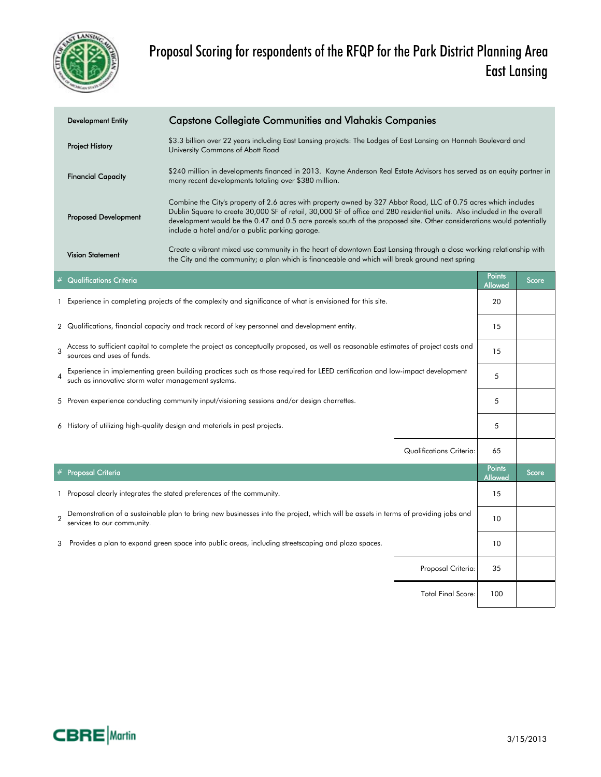

| <b>Development Entity</b>    | <b>Capstone Collegiate Communities and Vlahakis Companies</b>                                                                                                                                                                                                                                                                                                                                                            |                          |       |
|------------------------------|--------------------------------------------------------------------------------------------------------------------------------------------------------------------------------------------------------------------------------------------------------------------------------------------------------------------------------------------------------------------------------------------------------------------------|--------------------------|-------|
| <b>Project History</b>       | \$3.3 billion over 22 years including East Lansing projects: The Lodges of East Lansing on Hannah Boulevard and<br>University Commons of Abott Road                                                                                                                                                                                                                                                                      |                          |       |
| <b>Financial Capacity</b>    | \$240 million in developments financed in 2013. Kayne Anderson Real Estate Advisors has served as an equity partner in<br>many recent developments totaling over \$380 million.                                                                                                                                                                                                                                          |                          |       |
| <b>Proposed Development</b>  | Combine the City's property of 2.6 acres with property owned by 327 Abbot Road, LLC of 0.75 acres which includes<br>Dublin Square to create 30,000 SF of retail, 30,000 SF of office and 280 residential units. Also included in the overall<br>development would be the 0.47 and 0.5 acre parcels south of the proposed site. Other considerations would potentially<br>include a hotel and/or a public parking garage. |                          |       |
| <b>Vision Statement</b>      | Create a vibrant mixed use community in the heart of downtown East Lansing through a close working relationship with<br>the City and the community; a plan which is financeable and which will break ground next spring                                                                                                                                                                                                  |                          |       |
| $\#$ Qualifications Criteria |                                                                                                                                                                                                                                                                                                                                                                                                                          | <b>Points</b><br>Allowed | Score |
|                              | Experience in completing projects of the complexity and significance of what is envisioned for this site.                                                                                                                                                                                                                                                                                                                | 20                       |       |

- 2 15 Qualifications, financial capacity and track record of key personnel and development entity.
- 3 15 Access to sufficient capital to complete the project as conceptually proposed, as well as reasonable estimates of project costs and sources and uses of funds.
- Experience in implementing green building practices such as those required for LEED certification and low-impact development [15] 5 such as innovative storm water management systems.
- 5 5 Proven experience conducting community input/visioning sessions and/or design charrettes.
- 6 5 History of utilizing high-quality design and materials in past projects.

|                |                                                                                                                                                                 | Qualifications Criteria:  | 65                              |       |
|----------------|-----------------------------------------------------------------------------------------------------------------------------------------------------------------|---------------------------|---------------------------------|-------|
|                | # Proposal Criteria                                                                                                                                             |                           | <b>Points</b><br><b>Allowed</b> | Score |
|                | 1 Proposal clearly integrates the stated preferences of the community.                                                                                          |                           | 15                              |       |
| $\overline{2}$ | Demonstration of a sustainable plan to bring new businesses into the project, which will be assets in terms of providing jobs and<br>services to our community. |                           | 10                              |       |
| 3              | Provides a plan to expand green space into public areas, including streetscaping and plaza spaces.                                                              |                           | 10                              |       |
|                |                                                                                                                                                                 | Proposal Criteria:        | 35                              |       |
|                |                                                                                                                                                                 | <b>Total Final Score:</b> | 100                             |       |

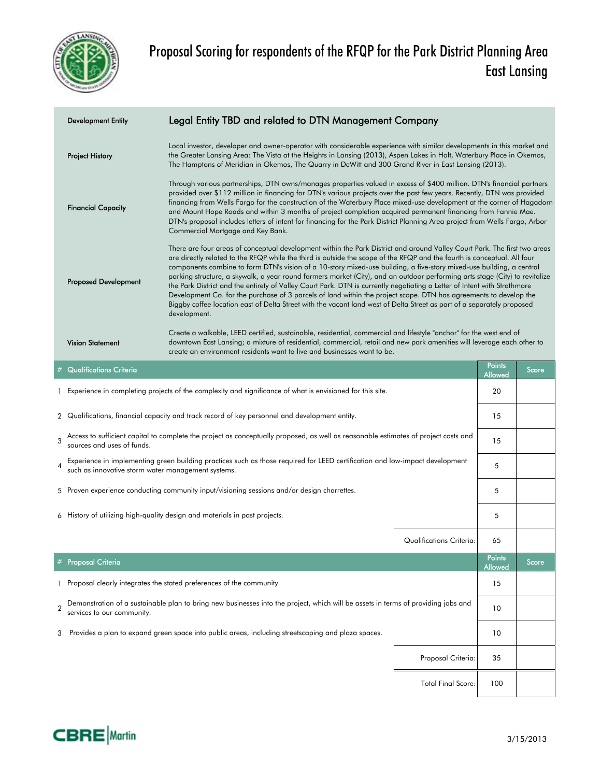

|                                                                                                                                                                                              | <b>Development Entity</b>                                                                                                                                                                                                                                                                                                                                                                                                                                                                                                                                                                                                                                                                                                                                                                                                                                                                                                              | Legal Entity TBD and related to DTN Management Company                                                                                                                                                                                                                                                                                                                                                                                                                                                                                                                                                                                                         |                                 |                   |       |  |
|----------------------------------------------------------------------------------------------------------------------------------------------------------------------------------------------|----------------------------------------------------------------------------------------------------------------------------------------------------------------------------------------------------------------------------------------------------------------------------------------------------------------------------------------------------------------------------------------------------------------------------------------------------------------------------------------------------------------------------------------------------------------------------------------------------------------------------------------------------------------------------------------------------------------------------------------------------------------------------------------------------------------------------------------------------------------------------------------------------------------------------------------|----------------------------------------------------------------------------------------------------------------------------------------------------------------------------------------------------------------------------------------------------------------------------------------------------------------------------------------------------------------------------------------------------------------------------------------------------------------------------------------------------------------------------------------------------------------------------------------------------------------------------------------------------------------|---------------------------------|-------------------|-------|--|
|                                                                                                                                                                                              | <b>Project History</b>                                                                                                                                                                                                                                                                                                                                                                                                                                                                                                                                                                                                                                                                                                                                                                                                                                                                                                                 | Local investor, developer and owner-operator with considerable experience with similar developments in this market and<br>the Greater Lansing Area: The Vista at the Heights in Lansing (2013), Aspen Lakes in Holt, Waterbury Place in Okemos,<br>The Hamptons of Meridian in Okemos, The Quarry in DeWitt and 300 Grand River in East Lansing (2013).                                                                                                                                                                                                                                                                                                        |                                 |                   |       |  |
|                                                                                                                                                                                              | <b>Financial Capacity</b>                                                                                                                                                                                                                                                                                                                                                                                                                                                                                                                                                                                                                                                                                                                                                                                                                                                                                                              | Through various partnerships, DTN owns/manages properties valued in excess of \$400 million. DTN's financial partners<br>provided over \$112 million in financing for DTN's various projects over the past few years. Recently, DTN was provided<br>financing from Wells Fargo for the construction of the Waterbury Place mixed-use development at the corner of Hagadorn<br>and Mount Hope Roads and within 3 months of project completion acquired permanent financing from Fannie Mae.<br>DTN's proposal includes letters of intent for financing for the Park District Planning Area project from Wells Fargo, Arbor<br>Commercial Mortgage and Key Bank. |                                 |                   |       |  |
|                                                                                                                                                                                              | There are four areas of conceptual development within the Park District and around Valley Court Park. The first two areas<br>are directly related to the RFQP while the third is outside the scope of the RFQP and the fourth is conceptual. All four<br>components combine to form DTN's vision of a 10-story mixed-use building, a five-story mixed-use building, a central<br>parking structure, a skywalk, a year round farmers market (City), and an outdoor performing arts stage (City) to revitalize<br><b>Proposed Development</b><br>the Park District and the entirety of Valley Court Park. DTN is currently negotiating a Letter of Intent with Strathmore<br>Development Co. for the purchase of 3 parcels of land within the project scope. DTN has agreements to develop the<br>Biggby coffee location east of Delta Street with the vacant land west of Delta Street as part of a separately proposed<br>development. |                                                                                                                                                                                                                                                                                                                                                                                                                                                                                                                                                                                                                                                                |                                 |                   |       |  |
|                                                                                                                                                                                              | <b>Vision Statement</b>                                                                                                                                                                                                                                                                                                                                                                                                                                                                                                                                                                                                                                                                                                                                                                                                                                                                                                                | Create a walkable, LEED certified, sustainable, residential, commercial and lifestyle "anchor" for the west end of<br>downtown East Lansing; a mixture of residential, commercial, retail and new park amenities will leverage each other to<br>create an environment residents want to live and businesses want to be.                                                                                                                                                                                                                                                                                                                                        |                                 |                   |       |  |
|                                                                                                                                                                                              | <b>Qualifications Criteria</b>                                                                                                                                                                                                                                                                                                                                                                                                                                                                                                                                                                                                                                                                                                                                                                                                                                                                                                         |                                                                                                                                                                                                                                                                                                                                                                                                                                                                                                                                                                                                                                                                |                                 | Points<br>Allowed | Score |  |
|                                                                                                                                                                                              |                                                                                                                                                                                                                                                                                                                                                                                                                                                                                                                                                                                                                                                                                                                                                                                                                                                                                                                                        | 1 Experience in completing projects of the complexity and significance of what is envisioned for this site.                                                                                                                                                                                                                                                                                                                                                                                                                                                                                                                                                    |                                 | 20                |       |  |
|                                                                                                                                                                                              |                                                                                                                                                                                                                                                                                                                                                                                                                                                                                                                                                                                                                                                                                                                                                                                                                                                                                                                                        | 2 Qualifications, financial capacity and track record of key personnel and development entity.                                                                                                                                                                                                                                                                                                                                                                                                                                                                                                                                                                 |                                 | 15                |       |  |
| Access to sufficient capital to complete the project as conceptually proposed, as well as reasonable estimates of project costs and<br>$\overline{\mathbf{3}}$<br>sources and uses of funds. |                                                                                                                                                                                                                                                                                                                                                                                                                                                                                                                                                                                                                                                                                                                                                                                                                                                                                                                                        |                                                                                                                                                                                                                                                                                                                                                                                                                                                                                                                                                                                                                                                                |                                 |                   |       |  |
| Experience in implementing green building practices such as those required for LEED certification and low-impact development<br>such as innovative storm water management systems.           |                                                                                                                                                                                                                                                                                                                                                                                                                                                                                                                                                                                                                                                                                                                                                                                                                                                                                                                                        |                                                                                                                                                                                                                                                                                                                                                                                                                                                                                                                                                                                                                                                                |                                 | 5                 |       |  |
|                                                                                                                                                                                              |                                                                                                                                                                                                                                                                                                                                                                                                                                                                                                                                                                                                                                                                                                                                                                                                                                                                                                                                        | 5 Proven experience conducting community input/visioning sessions and/or design charrettes.                                                                                                                                                                                                                                                                                                                                                                                                                                                                                                                                                                    |                                 | 5                 |       |  |
|                                                                                                                                                                                              |                                                                                                                                                                                                                                                                                                                                                                                                                                                                                                                                                                                                                                                                                                                                                                                                                                                                                                                                        | 6 History of utilizing high-quality design and materials in past projects.                                                                                                                                                                                                                                                                                                                                                                                                                                                                                                                                                                                     |                                 | 5                 |       |  |
|                                                                                                                                                                                              |                                                                                                                                                                                                                                                                                                                                                                                                                                                                                                                                                                                                                                                                                                                                                                                                                                                                                                                                        |                                                                                                                                                                                                                                                                                                                                                                                                                                                                                                                                                                                                                                                                | <b>Qualifications Criteria:</b> | 65                |       |  |
|                                                                                                                                                                                              | # Proposal Criteria                                                                                                                                                                                                                                                                                                                                                                                                                                                                                                                                                                                                                                                                                                                                                                                                                                                                                                                    |                                                                                                                                                                                                                                                                                                                                                                                                                                                                                                                                                                                                                                                                |                                 | Points<br>Allowed | Score |  |
|                                                                                                                                                                                              |                                                                                                                                                                                                                                                                                                                                                                                                                                                                                                                                                                                                                                                                                                                                                                                                                                                                                                                                        | 1 Proposal clearly integrates the stated preferences of the community.                                                                                                                                                                                                                                                                                                                                                                                                                                                                                                                                                                                         |                                 | 15                |       |  |
|                                                                                                                                                                                              | services to our community.                                                                                                                                                                                                                                                                                                                                                                                                                                                                                                                                                                                                                                                                                                                                                                                                                                                                                                             | Demonstration of a sustainable plan to bring new businesses into the project, which will be assets in terms of providing jobs and                                                                                                                                                                                                                                                                                                                                                                                                                                                                                                                              |                                 | 10                |       |  |
| 3                                                                                                                                                                                            |                                                                                                                                                                                                                                                                                                                                                                                                                                                                                                                                                                                                                                                                                                                                                                                                                                                                                                                                        | Provides a plan to expand green space into public areas, including streetscaping and plaza spaces.                                                                                                                                                                                                                                                                                                                                                                                                                                                                                                                                                             |                                 | 10                |       |  |
|                                                                                                                                                                                              |                                                                                                                                                                                                                                                                                                                                                                                                                                                                                                                                                                                                                                                                                                                                                                                                                                                                                                                                        |                                                                                                                                                                                                                                                                                                                                                                                                                                                                                                                                                                                                                                                                | Proposal Criteria:              | 35                |       |  |
|                                                                                                                                                                                              |                                                                                                                                                                                                                                                                                                                                                                                                                                                                                                                                                                                                                                                                                                                                                                                                                                                                                                                                        |                                                                                                                                                                                                                                                                                                                                                                                                                                                                                                                                                                                                                                                                |                                 |                   |       |  |

Total Final Score: 100

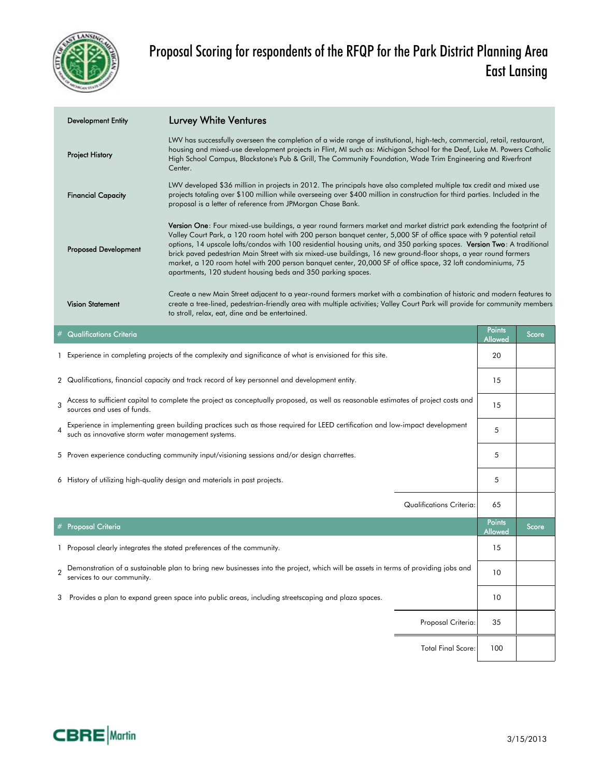

| <b>Development Entity</b>   | <b>Lurvey White Ventures</b>                                                                                                                                                                                                                                                                                                                                                                                                                                                                                                                                                                                                                                                         |        |       |
|-----------------------------|--------------------------------------------------------------------------------------------------------------------------------------------------------------------------------------------------------------------------------------------------------------------------------------------------------------------------------------------------------------------------------------------------------------------------------------------------------------------------------------------------------------------------------------------------------------------------------------------------------------------------------------------------------------------------------------|--------|-------|
| <b>Project History</b>      | LWV has successfully overseen the completion of a wide range of institutional, high-tech, commercial, retail, restaurant,<br>housing and mixed-use development projects in Flint, MI such as: Michigan School for the Deaf, Luke M. Powers Catholic<br>High School Campus, Blackstone's Pub & Grill, The Community Foundation, Wade Trim Engineering and Riverfront<br>Center.                                                                                                                                                                                                                                                                                                       |        |       |
| <b>Financial Capacity</b>   | LWV developed \$36 million in projects in 2012. The principals have also completed multiple tax credit and mixed use<br>projects totaling over \$100 million while overseeing over \$400 million in construction for third parties. Included in the<br>proposal is a letter of reference from JPMorgan Chase Bank.                                                                                                                                                                                                                                                                                                                                                                   |        |       |
| <b>Proposed Development</b> | <b>Version One:</b> Four mixed-use buildings, a year round farmers market and market district park extending the footprint of<br>Valley Court Park, a 120 room hotel with 200 person banquet center, 5,000 SF of office space with 9 potential retail<br>options, 14 upscale lofts/condos with 100 residential housing units, and 350 parking spaces. Version Two: A traditional<br>brick paved pedestrian Main Street with six mixed-use buildings, 16 new ground-floor shops, a year round farmers<br>market, a 120 room hotel with 200 person banquet center, 20,000 SF of office space, 32 loft condominiums, 75<br>apartments, 120 student housing beds and 350 parking spaces. |        |       |
| <b>Vision Statement</b>     | Create a new Main Street adjacent to a year-round farmers market with a combination of historic and modern features to<br>create a tree-lined, pedestrian-friendly area with multiple activities; Valley Court Park will provide for community members<br>to stroll, relax, eat, dine and be entertained.                                                                                                                                                                                                                                                                                                                                                                            |        |       |
| $#$ Qualifications Criteria |                                                                                                                                                                                                                                                                                                                                                                                                                                                                                                                                                                                                                                                                                      | Points | Score |

|                | <b>Qualifications Criteria</b>                                                                                                                                                     | <u>i oinia</u><br>Allowed | Score |
|----------------|------------------------------------------------------------------------------------------------------------------------------------------------------------------------------------|---------------------------|-------|
|                | Experience in completing projects of the complexity and significance of what is envisioned for this site.                                                                          | 20                        |       |
|                | 2 Qualifications, financial capacity and track record of key personnel and development entity.                                                                                     | 15                        |       |
| 3              | Access to sufficient capital to complete the project as conceptually proposed, as well as reasonable estimates of project costs and<br>sources and uses of funds.                  | 15                        |       |
| $\overline{4}$ | Experience in implementing green building practices such as those required for LEED certification and low-impact development<br>such as innovative storm water management systems. | 5                         |       |
|                | 5 Proven experience conducting community input/visioning sessions and/or design charrettes.                                                                                        | 5                         |       |
|                | 6 History of utilizing high-quality design and materials in past projects.                                                                                                         | 5                         |       |
|                | Qualifications Criteria:                                                                                                                                                           | 65                        |       |
|                | # Proposal Criteria                                                                                                                                                                | <b>Points</b><br>Allowed  | Score |
|                | Proposal clearly integrates the stated preferences of the community.                                                                                                               | 15                        |       |
| $\overline{2}$ | Demonstration of a sustainable plan to bring new businesses into the project, which will be assets in terms of providing jobs and<br>services to our community.                    | 10                        |       |
| 3              | Provides a plan to expand green space into public areas, including streetscaping and plaza spaces.                                                                                 | 10                        |       |
|                | Proposal Criteria:                                                                                                                                                                 | 35                        |       |
|                | <b>Total Final Score:</b>                                                                                                                                                          | 100                       |       |

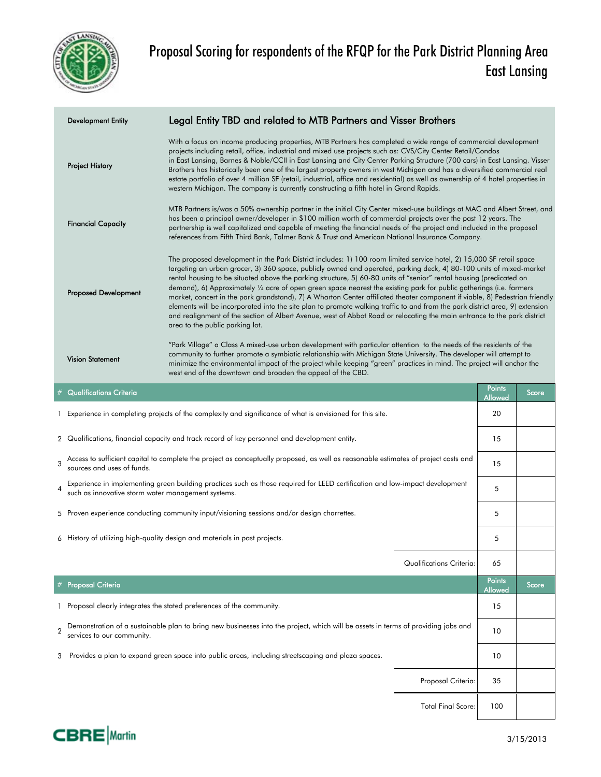

| <b>Development Entity</b>   | Legal Entity TBD and related to MTB Partners and Visser Brothers                                                                                                                                                                                                                                                                                                                                                                                                                                                                                                                                                                                                                                                                                                                                                                                                                                                         |
|-----------------------------|--------------------------------------------------------------------------------------------------------------------------------------------------------------------------------------------------------------------------------------------------------------------------------------------------------------------------------------------------------------------------------------------------------------------------------------------------------------------------------------------------------------------------------------------------------------------------------------------------------------------------------------------------------------------------------------------------------------------------------------------------------------------------------------------------------------------------------------------------------------------------------------------------------------------------|
| <b>Project History</b>      | With a focus on income producing properties, MTB Partners has completed a wide range of commercial development<br>projects including retail, office, industrial and mixed use projects such as: CVS/City Center Retail/Condos<br>in East Lansing, Barnes & Noble/CCII in East Lansing and City Center Parking Structure (700 cars) in East Lansing. Visser<br>Brothers has historically been one of the largest property owners in west Michigan and has a diversified commercial real<br>estate portfolio of over 4 million SF (retail, industrial, office and residential) as well as ownership of 4 hotel properties in<br>western Michigan. The company is currently constructing a fifth hotel in Grand Rapids.                                                                                                                                                                                                     |
| <b>Financial Capacity</b>   | MTB Partners is/was a 50% ownership partner in the initial City Center mixed-use buildings at MAC and Albert Street, and<br>has been a principal owner/developer in \$100 million worth of commercial projects over the past 12 years. The<br>partnership is well capitalized and capable of meeting the financial needs of the project and included in the proposal<br>references from Fifth Third Bank, Talmer Bank & Trust and American National Insurance Company.                                                                                                                                                                                                                                                                                                                                                                                                                                                   |
| <b>Proposed Development</b> | The proposed development in the Park District includes: 1) 100 room limited service hotel, 2) 15,000 SF retail space<br>targeting an urban grocer, 3) 360 space, publicly owned and operated, parking deck, 4) 80-100 units of mixed-market<br>rental housing to be situated above the parking structure, 5) 60-80 units of "senior" rental housing (predicated on<br>demand), 6) Approximately 1/4 acre of open green space nearest the existing park for public gatherings (i.e. farmers<br>market, concert in the park grandstand), 7) A Wharton Center affiliated theater component if viable, 8) Pedestrian friendly<br>elements will be incorporated into the site plan to promote walking traffic to and from the park district area, 9) extension<br>and realignment of the section of Albert Avenue, west of Abbot Road or relocating the main entrance to the park district<br>area to the public parking lot. |
| <b>Vision Statement</b>     | "Park Village" a Class A mixed-use urban development with particular attention to the needs of the residents of the<br>community to further promote a symbiotic relationship with Michigan State University. The developer will attempt to<br>minimize the environmental impact of the project while keeping "green" practices in mind. The project will anchor the<br>west end of the downtown and broaden the appeal of the CBD.<br><b>District</b>                                                                                                                                                                                                                                                                                                                                                                                                                                                                    |

|                | <b>Qualifications Criteria</b>                                                                                                                                                     | <b>Points</b><br>Allowed | Score |
|----------------|------------------------------------------------------------------------------------------------------------------------------------------------------------------------------------|--------------------------|-------|
|                | Experience in completing projects of the complexity and significance of what is envisioned for this site.                                                                          | 20                       |       |
|                | 2 Qualifications, financial capacity and track record of key personnel and development entity.                                                                                     | 15                       |       |
| $\overline{3}$ | Access to sufficient capital to complete the project as conceptually proposed, as well as reasonable estimates of project costs and<br>sources and uses of funds.                  | 15                       |       |
| $\overline{4}$ | Experience in implementing green building practices such as those required for LEED certification and low-impact development<br>such as innovative storm water management systems. | 5                        |       |
|                | 5 Proven experience conducting community input/visioning sessions and/or design charrettes.                                                                                        | 5                        |       |
|                | 6 History of utilizing high-quality design and materials in past projects.                                                                                                         | 5                        |       |
|                | Qualifications Criteria:                                                                                                                                                           | 65                       |       |
|                | # Proposal Criteria                                                                                                                                                                | <b>Points</b><br>Allowed | Score |
|                | Proposal clearly integrates the stated preferences of the community.                                                                                                               | 15                       |       |
| $\overline{2}$ | Demonstration of a sustainable plan to bring new businesses into the project, which will be assets in terms of providing jobs and<br>services to our community.                    | 10                       |       |
| 3              | Provides a plan to expand green space into public areas, including streetscaping and plaza spaces.                                                                                 | 10                       |       |
|                | Proposal Criteria:                                                                                                                                                                 | 35                       |       |
|                | <b>Total Final Score:</b>                                                                                                                                                          | 100                      |       |

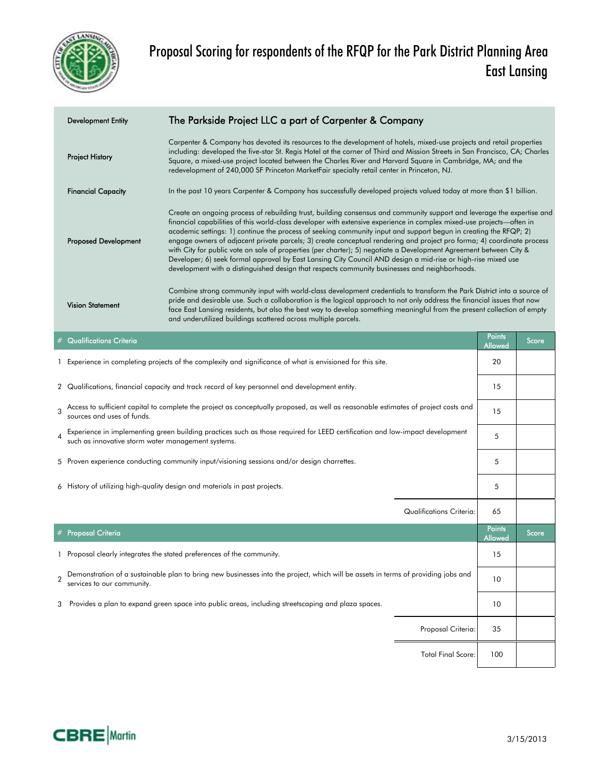

| <b>Development Entity</b>      | The Parkside Project LLC a part of Carpenter & Company                                                                                                                                                                                                                                                                                                                                                                                                                                                                                                                                                                                                                                                                                                                                                                               |                          |       |
|--------------------------------|--------------------------------------------------------------------------------------------------------------------------------------------------------------------------------------------------------------------------------------------------------------------------------------------------------------------------------------------------------------------------------------------------------------------------------------------------------------------------------------------------------------------------------------------------------------------------------------------------------------------------------------------------------------------------------------------------------------------------------------------------------------------------------------------------------------------------------------|--------------------------|-------|
| <b>Project History</b>         | Carpenter & Company has devoted its resources to the development of hotels, mixed-use projects and retail properties<br>including: developed the five-star St. Regis Hotel at the corner of Third and Mission Streets in San Francisco, CA; Charles<br>Square, a mixed-use project located between the Charles River and Harvard Square in Cambridge, MA; and the<br>redevelopment of 240,000 SF Princeton MarketFair specialty retail center in Princeton, NJ.                                                                                                                                                                                                                                                                                                                                                                      |                          |       |
| <b>Financial Capacity</b>      | In the past 10 years Carpenter & Company has successfully developed projects valued today at more than \$1 billion.                                                                                                                                                                                                                                                                                                                                                                                                                                                                                                                                                                                                                                                                                                                  |                          |       |
| <b>Proposed Development</b>    | Create an ongoing process of rebuilding trust, building consensus and community support and leverage the expertise and<br>financial capabilities of this world-class developer with extensive experience in complex mixed-use projects—often in<br>academic settings: 1) continue the process of seeking community input and support begun in creating the RFQP; 2)<br>engage owners of adjacent private parcels; 3) create conceptual rendering and project pro forma; 4) coordinate process<br>with City for public vote on sale of properties (per charter); 5) negotiate a Development Agreement between City &<br>Developer; 6) seek formal approval by East Lansing City Council AND design a mid-rise or high-rise mixed use<br>development with a distinguished design that respects community businesses and neighborhoods. |                          |       |
| <b>Vision Statement</b>        | Combine strong community input with world-class development credentials to transform the Park District into a source of<br>pride and desirable use. Such a collaboration is the logical approach to not only address the financial issues that now<br>face East Lansing residents, but also the best way to develop something meaningful from the present collection of empty<br>and underutilized buildings scattered across multiple parcels.                                                                                                                                                                                                                                                                                                                                                                                      |                          |       |
| <b>Qualifications Criteria</b> |                                                                                                                                                                                                                                                                                                                                                                                                                                                                                                                                                                                                                                                                                                                                                                                                                                      | <b>Points</b><br>Allowed | Score |

1 20 Experience in completing projects of the complexity and significance of what is envisioned for this site.

|              | 2 Qualifications, financial capacity and track record of key personnel and development entity.                                                                                     |                          | 15                              |       |
|--------------|------------------------------------------------------------------------------------------------------------------------------------------------------------------------------------|--------------------------|---------------------------------|-------|
| $\mathbf{z}$ | Access to sufficient capital to complete the project as conceptually proposed, as well as reasonable estimates of project costs and<br>sources and uses of funds.                  |                          | 15                              |       |
|              | Experience in implementing green building practices such as those required for LEED certification and low-impact development<br>such as innovative storm water management systems. |                          | 5                               |       |
|              | 5 Proven experience conducting community input/visioning sessions and/or design charrettes.                                                                                        |                          | 5                               |       |
|              | 6 History of utilizing high-quality design and materials in past projects.                                                                                                         |                          | 5                               |       |
|              |                                                                                                                                                                                    |                          |                                 |       |
|              |                                                                                                                                                                                    | Qualifications Criteria: | 65                              |       |
|              | $\overline{\mathcal{F}}$ Proposal Criteria                                                                                                                                         |                          | <b>Points</b><br><b>Allowed</b> | Score |
|              | Proposal clearly integrates the stated preferences of the community.                                                                                                               |                          | 15                              |       |
|              | Demonstration of a sustainable plan to bring new businesses into the project, which will be assets in terms of providing jobs and<br>services to our community.                    |                          | 10                              |       |
| 3            | Provides a plan to expand green space into public areas, including streetscaping and plaza spaces.                                                                                 |                          | 10                              |       |
|              |                                                                                                                                                                                    | Proposal Criteria:       | 35                              |       |

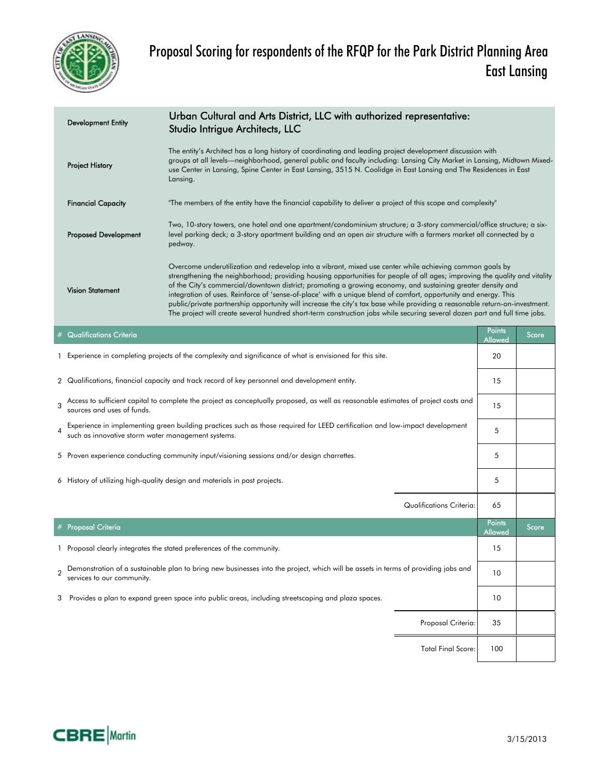

| <b>Development Entity</b>   | Urban Cultural and Arts District, LLC with authorized representative:<br>Studio Intrigue Architects, LLC                                                                                                                                                                                                                                                                                                                                                                                                                                                                                                                                                                                                                              |
|-----------------------------|---------------------------------------------------------------------------------------------------------------------------------------------------------------------------------------------------------------------------------------------------------------------------------------------------------------------------------------------------------------------------------------------------------------------------------------------------------------------------------------------------------------------------------------------------------------------------------------------------------------------------------------------------------------------------------------------------------------------------------------|
| <b>Project History</b>      | The entity's Architect has a long history of coordinating and leading project development discussion with<br>groups at all levels—neighborhood, general public and faculty including: Lansing City Market in Lansing, Midtown Mixed-<br>use Center in Lansing, Spine Center in East Lansing, 3515 N. Coolidge in East Lansing and The Residences in East<br>Lansing.                                                                                                                                                                                                                                                                                                                                                                  |
| <b>Financial Capacity</b>   | "The members of the entity have the financial capability to deliver a project of this scope and complexity"                                                                                                                                                                                                                                                                                                                                                                                                                                                                                                                                                                                                                           |
| <b>Proposed Development</b> | Two, 10-story towers, one hotel and one apartment/condominium structure; a 3-story commercial/office structure; a six-<br>level parking deck; a 3-story apartment building and an open air structure with a farmers market all connected by a<br>pedway.                                                                                                                                                                                                                                                                                                                                                                                                                                                                              |
| <b>Vision Statement</b>     | Overcome underutilization and redevelop into a vibrant, mixed use center while achieving common goals by<br>strengthening the neighborhood; providing housing opportunities for people of all ages; improving the quality and vitality<br>of the City's commercial/downtown district; promoting a growing economy, and sustaining greater density and<br>integration of uses. Reinforce of 'sense-of-place' with a unique blend of comfort, opportunity and energy. This<br>public/private partnership opportunity will increase the city's tax base while providing a reasonable return-on-investment.<br>The project will create several hundred short-term construction jobs while securing several dozen part and full time jobs. |

|                | <b>Qualifications Criteria</b>                                                                                                                                                     | <b>Points</b><br>Allowed | Score |
|----------------|------------------------------------------------------------------------------------------------------------------------------------------------------------------------------------|--------------------------|-------|
|                | 1 Experience in completing projects of the complexity and significance of what is envisioned for this site.                                                                        | 20                       |       |
|                | 2 Qualifications, financial capacity and track record of key personnel and development entity.                                                                                     | 15                       |       |
| $\mathcal{R}$  | Access to sufficient capital to complete the project as conceptually proposed, as well as reasonable estimates of project costs and<br>sources and uses of funds.                  | 15                       |       |
| 4              | Experience in implementing green building practices such as those required for LEED certification and low-impact development<br>such as innovative storm water management systems. | 5                        |       |
|                | 5 Proven experience conducting community input/visioning sessions and/or design charrettes.                                                                                        | 5                        |       |
|                | 6 History of utilizing high-quality design and materials in past projects.                                                                                                         | 5                        |       |
|                | Qualifications Criteria:                                                                                                                                                           | 65                       |       |
|                | # Proposal Criteria                                                                                                                                                                | <b>Points</b><br>Allowed | Score |
|                | 1 Proposal clearly integrates the stated preferences of the community.                                                                                                             | 15                       |       |
| $\mathfrak{p}$ | Demonstration of a sustainable plan to bring new businesses into the project, which will be assets in terms of providing jobs and<br>services to our community.                    | 10                       |       |
| 3              | Provides a plan to expand green space into public areas, including streetscaping and plaza spaces.                                                                                 | 10                       |       |
|                |                                                                                                                                                                                    |                          |       |
|                | Proposal Criteria:                                                                                                                                                                 | 35                       |       |

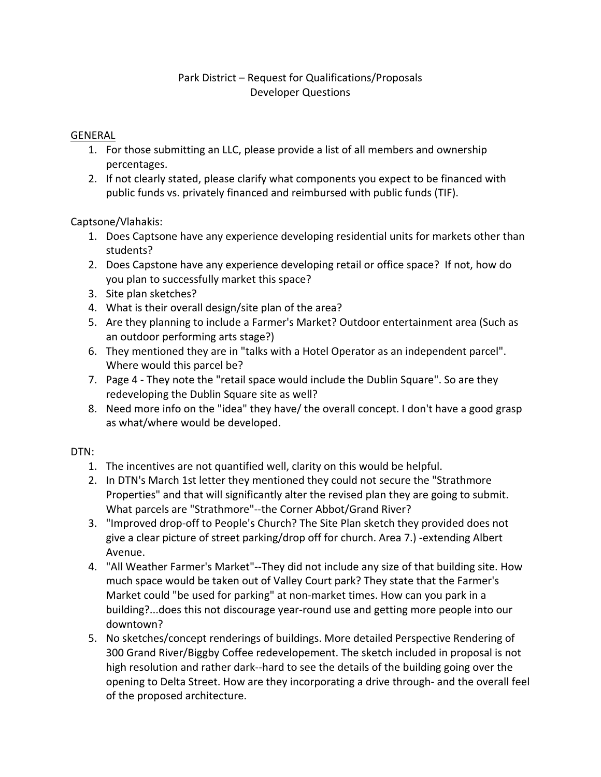### Park District – Request for Qualifications/Proposals Developer Questions

### GENERAL

- 1. For those submitting an LLC, please provide a list of all members and ownership percentages.
- 2. If not clearly stated, please clarify what components you expect to be financed with public funds vs. privately financed and reimbursed with public funds (TIF).

Captsone/Vlahakis:

- 1. Does Captsone have any experience developing residential units for markets other than students?
- 2. Does Capstone have any experience developing retail or office space? If not, how do you plan to successfully market this space?
- 3. Site plan sketches?
- 4. What is their overall design/site plan of the area?
- 5. Are they planning to include a Farmer's Market? Outdoor entertainment area (Such as an outdoor performing arts stage?)
- 6. They mentioned they are in "talks with a Hotel Operator as an independent parcel". Where would this parcel be?
- 7. Page 4 ‐ They note the "retail space would include the Dublin Square". So are they redeveloping the Dublin Square site as well?
- 8. Need more info on the "idea" they have/ the overall concept. I don't have a good grasp as what/where would be developed.

### DTN:

- 1. The incentives are not quantified well, clarity on this would be helpful.
- 2. In DTN's March 1st letter they mentioned they could not secure the "Strathmore Properties" and that will significantly alter the revised plan they are going to submit. What parcels are "Strathmore"--the Corner Abbot/Grand River?
- 3. "Improved drop‐off to People's Church? The Site Plan sketch they provided does not give a clear picture of street parking/drop off for church. Area 7.) ‐extending Albert Avenue.
- 4. "All Weather Farmer's Market"--They did not include any size of that building site. How much space would be taken out of Valley Court park? They state that the Farmer's Market could "be used for parking" at non‐market times. How can you park in a building?...does this not discourage year‐round use and getting more people into our downtown?
- 5. No sketches/concept renderings of buildings. More detailed Perspective Rendering of 300 Grand River/Biggby Coffee redevelopement. The sketch included in proposal is not high resolution and rather dark‐‐hard to see the details of the building going over the opening to Delta Street. How are they incorporating a drive through- and the overall feel of the proposed architecture.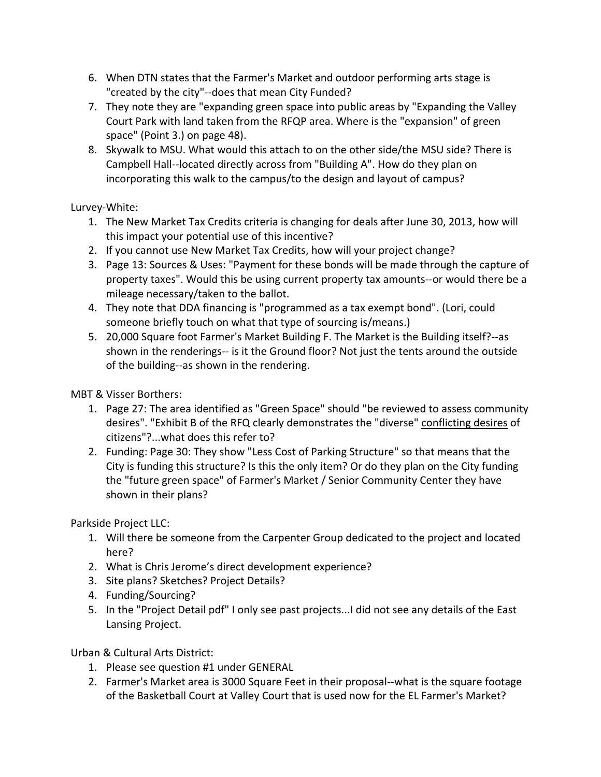- 6. When DTN states that the Farmer's Market and outdoor performing arts stage is "created by the city"--does that mean City Funded?
- 7. They note they are "expanding green space into public areas by "Expanding the Valley Court Park with land taken from the RFQP area. Where is the "expansion" of green space" (Point 3.) on page 48).
- 8. Skywalk to MSU. What would this attach to on the other side/the MSU side? There is Campbell Hall‐‐located directly across from "Building A". How do they plan on incorporating this walk to the campus/to the design and layout of campus?

Lurvey‐White:

- 1. The New Market Tax Credits criteria is changing for deals after June 30, 2013, how will this impact your potential use of this incentive?
- 2. If you cannot use New Market Tax Credits, how will your project change?
- 3. Page 13: Sources & Uses: "Payment for these bonds will be made through the capture of property taxes". Would this be using current property tax amounts--or would there be a mileage necessary/taken to the ballot.
- 4. They note that DDA financing is "programmed as a tax exempt bond". (Lori, could someone briefly touch on what that type of sourcing is/means.)
- 5. 20,000 Square foot Farmer's Market Building F. The Market is the Building itself?--as shown in the renderings-- is it the Ground floor? Not just the tents around the outside of the building‐‐as shown in the rendering.

MBT & Visser Borthers:

- 1. Page 27: The area identified as "Green Space" should "be reviewed to assess community desires". "Exhibit B of the RFQ clearly demonstrates the "diverse" conflicting desires of citizens"?...what does this refer to?
- 2. Funding: Page 30: They show "Less Cost of Parking Structure" so that means that the City is funding this structure? Is this the only item? Or do they plan on the City funding the "future green space" of Farmer's Market / Senior Community Center they have shown in their plans?

Parkside Project LLC:

- 1. Will there be someone from the Carpenter Group dedicated to the project and located here?
- 2. What is Chris Jerome's direct development experience?
- 3. Site plans? Sketches? Project Details?
- 4. Funding/Sourcing?
- 5. In the "Project Detail pdf" I only see past projects...I did not see any details of the East Lansing Project.

Urban & Cultural Arts District:

- 1. Please see question #1 under GENERAL
- 2. Farmer's Market area is 3000 Square Feet in their proposal--what is the square footage of the Basketball Court at Valley Court that is used now for the EL Farmer's Market?